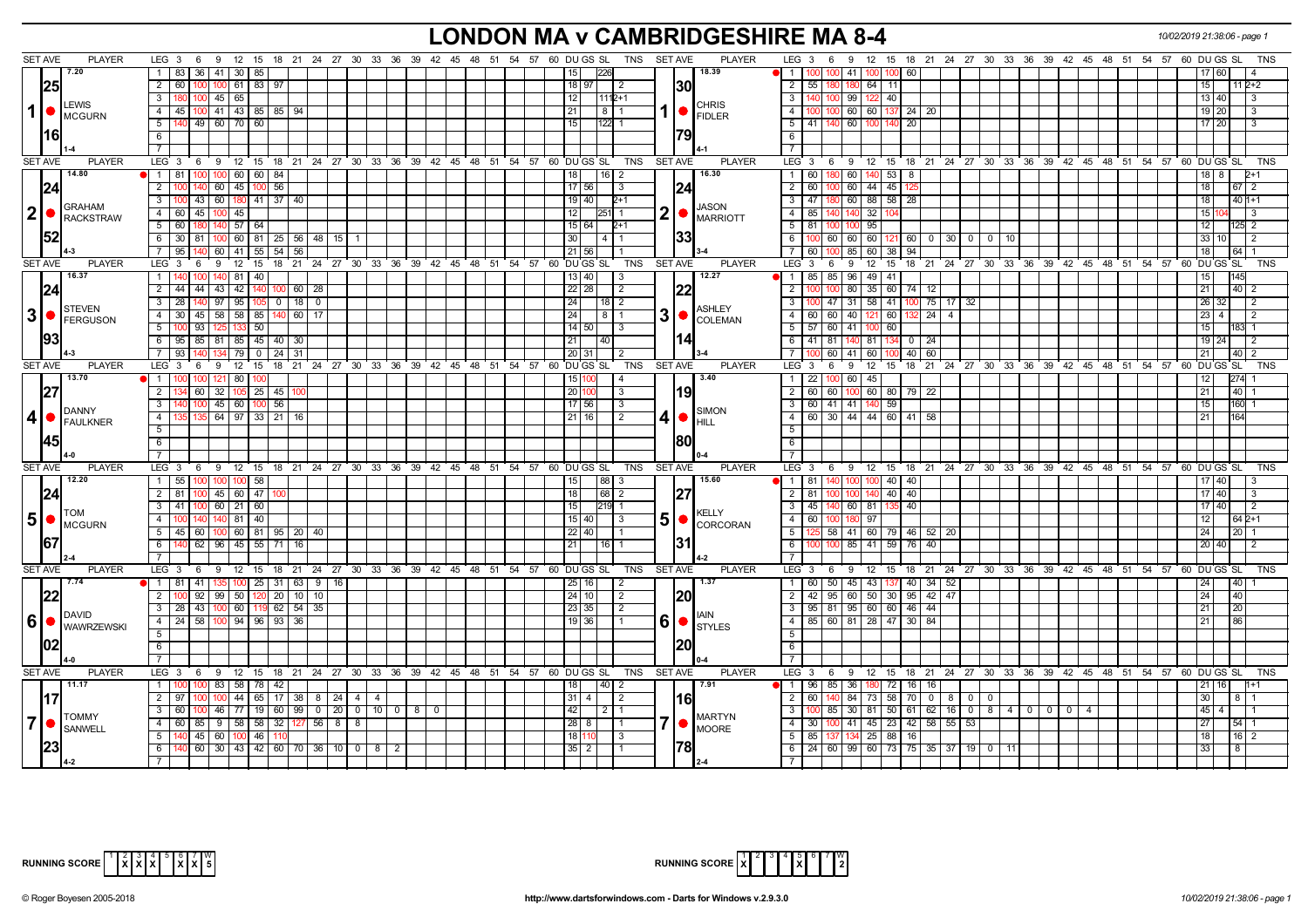# **LONDON MA v CAMBRIDGESHIRE MA 8-4** *10/02/2019 21:38:06 - page 1*

|                | <b>SET AVE</b><br><b>PLAYER</b>          | LEG <sub>3</sub><br>6<br>- 9                                         |                                       |                             | 12 15 18 21 24 27 30 33 36 39 42 45 48 51 54 57 60 DUGS SL        |  |  | TNS SET AVE                                                    |                | <b>PLAYER</b>         | LEG <sub>3</sub><br>12 15 18 21 24 27 30 33 36 39 42 45 48 51 54 57 60 DU GS SL<br>6<br>- 9<br>TNS                                                                                                                         |
|----------------|------------------------------------------|----------------------------------------------------------------------|---------------------------------------|-----------------------------|-------------------------------------------------------------------|--|--|----------------------------------------------------------------|----------------|-----------------------|----------------------------------------------------------------------------------------------------------------------------------------------------------------------------------------------------------------------------|
|                | 7.20                                     | 83 36 41 30 85                                                       |                                       |                             |                                                                   |  |  | 15 <sup>1</sup>                                                |                | 18.39                 | 41<br>60<br>17 60<br>$\overline{1}$                                                                                                                                                                                        |
|                | 25                                       | $\overline{2}$<br>60 100 100                                         | 61 83 97                              |                             |                                                                   |  |  | $18$   97<br>$\overline{2}$                                    |                | 30                    | $\overline{2}$<br>551<br>64 11<br>15<br>$112+2$<br>180                                                                                                                                                                     |
|                | <b>LEWIS</b>                             | $\mathbf{3}$<br>$100$   45   65                                      |                                       |                             |                                                                   |  |  | 12  <br>$11112+1$                                              |                | <b>CHRIS</b>          | $\overline{\phantom{a}3}$<br>140 100 99<br>122 40<br>13   40 <br>l 3                                                                                                                                                       |
| 1              | MCGURN                                   | 45   100   41   43   85   85   94  <br>$\overline{4}$                |                                       |                             |                                                                   |  |  | 21<br>$8 \mid 1$                                               |                | <b>FIDLER</b>         | $\overline{4}$<br>100 100 60 60 137 24 20<br>$19$ 20<br>$\overline{3}$                                                                                                                                                     |
|                |                                          | 140 49 60 70 60<br>5                                                 |                                       |                             |                                                                   |  |  | $\overline{15}$<br>$122$ 1                                     |                |                       | 5 41 40 60 100 140 20<br>17 20<br>l 3                                                                                                                                                                                      |
|                | 1161                                     | 6                                                                    |                                       |                             |                                                                   |  |  |                                                                |                |                       | 6                                                                                                                                                                                                                          |
|                |                                          | $\overline{7}$                                                       |                                       |                             |                                                                   |  |  |                                                                |                |                       | $\overline{7}$                                                                                                                                                                                                             |
|                | <b>SET AVE</b><br><b>PLAYER</b>          | LEG 3 6 9 12 15 18 21 24 27 30 33 36 39 42 45 48 51 54 57 60 DUGS SL |                                       |                             |                                                                   |  |  | <b>TNS</b>                                                     | <b>SET AVE</b> | <b>PLAYER</b>         | LEG 3 6 9 12 15 18 21 24 27 30 33 36 39 42 45 48 51 54 57 60 DUGS SL<br><b>TNS</b>                                                                                                                                         |
|                | 14.80                                    | <b>1</b> 1 81 100 100                                                | 60 60 84                              |                             |                                                                   |  |  | 18<br>16   2                                                   |                | 16.30                 | 60   180   60   140   53   8<br>- 1 L                                                                                                                                                                                      |
|                | 24                                       | $\overline{2}$                                                       | 140 60 45 100 56                      |                             |                                                                   |  |  | 17 56<br>3                                                     | 24             |                       | $\overline{2}$<br>60 100<br>60 44 45<br>18<br>67 2                                                                                                                                                                         |
|                | <b>GRAHAM</b>                            | 100 43 60 180 41 37 40<br>$\mathbf{3}$                               |                                       |                             |                                                                   |  |  | 19   40<br>$2+1$                                               |                | <b>JASON</b>          | 47   180   60   88   58   28<br>3 <sup>1</sup><br>18<br>$401+1$                                                                                                                                                            |
| $ 2  \bullet$  | <b>RACKSTRAW</b>                         | 4 60 45                                                              | 45                                    |                             |                                                                   |  |  | 12                                                             | $\mathbf 2$    | <b>MARRIOTT</b>       | $\overline{4}$<br>85 140<br>32 <sub>1</sub><br>1511<br>140<br>IЗ                                                                                                                                                           |
|                |                                          | 5<br>60                                                              | $57$ 64                               |                             |                                                                   |  |  | 15 64 <br>$2+1$                                                |                |                       | 5<br>81<br>95<br>12 <sup>1</sup><br>125 2                                                                                                                                                                                  |
|                | 52                                       | 6<br>30 81                                                           |                                       | 60   81   25   56   48   15 |                                                                   |  |  | 30<br>4   1                                                    |                | 33                    | $100$ 60 60<br>$60 \mid 121 \mid 60 \mid 0 \mid 30 \mid 0 \mid 0 \mid 10$<br>6<br>33 10                                                                                                                                    |
|                |                                          | 95 <sub>1</sub><br>60                                                | 41 55                                 | $\sqrt{54}$<br>56           |                                                                   |  |  | $21$ 56                                                        |                |                       | $\overline{7}$<br>85<br>60 38<br>94<br>18 <sup>1</sup><br>64 1                                                                                                                                                             |
|                | <b>SET AVE</b><br><b>PLAYER</b>          | LEG <sub>3</sub><br>6<br>-9                                          | 12<br>15                              |                             | 18 21 24 27 30 33 36 39 42 45 48 51 54 57 60 DUGS SL              |  |  | TNS                                                            | <b>SET AVE</b> | <b>PLAYER</b>         | LEG <sup>3</sup><br>12 15 18 21 24 27 30 33 36 39 42 45 48 51 54 57 60 DUGS SL<br>- 9<br><b>TNS</b><br>- 6                                                                                                                 |
|                | 16.37                                    |                                                                      | 81<br>40                              |                             |                                                                   |  |  | 13   40                                                        |                | 12.27                 | $\overline{1}$<br>85 85 96<br>49 41                                                                                                                                                                                        |
|                | 24                                       | $\overline{2}$<br>43<br>44 I<br>44                                   | 42<br>140                             | $60$   28                   |                                                                   |  |  | 22   28<br>2                                                   |                | 22                    | $\overline{2}$<br>35 60 74 12<br>80<br>21<br>$40$   2                                                                                                                                                                      |
|                | STEVEN                                   | 97                                                                   | 95 105                                | $\overline{0}$<br>$18$ 0    |                                                                   |  |  | 24<br>$\overline{18 2}$                                        |                | <b>ASHLEY</b>         | $75$ 17 32<br>$\overline{3}$<br>100 47 31 58 41 100<br>26 32<br>2                                                                                                                                                          |
| $3\bullet$     | FERGUSON                                 | 30 45 58 58 85 140<br>$-4$                                           |                                       | $60$ 17                     |                                                                   |  |  | 24<br>$8 \mid 1$                                               | 3 <sup>1</sup> | <b>COLEMAN</b>        | 60 60 40 121 60<br>$132$ 24 4<br>$\overline{4}$<br>$23 \mid 4$<br>$\sqrt{2}$                                                                                                                                               |
|                |                                          | 5<br>93                                                              | 50                                    |                             |                                                                   |  |  | $14$ 50<br>3                                                   |                |                       | 5 5 57 60 41 100 60<br>15 <sup>1</sup><br>183 1                                                                                                                                                                            |
|                |                                          | 6<br>95 85 81 85 45 40                                               |                                       | 30 <sup>1</sup>             |                                                                   |  |  | 21<br>40                                                       |                | 14                    | 41 81 140 81 134<br>6<br>$0 \mid 24$<br>19 24<br>l 2                                                                                                                                                                       |
|                | <b>SET AVE</b><br><b>PLAYER</b>          | $\overline{7}$<br>93<br>LEG 3<br>6<br>9                              | 79<br>$\overline{0}$<br>$12 \quad 15$ | 24<br>31                    | 18 21 24 27 30 33 36 39 42 45 48 51 54 57 60 DUGS SL              |  |  | 20 31<br>-2<br>TNS                                             | <b>SET AVE</b> | <b>PLAYER</b>         | 7<br>60<br>41<br>60 100<br>40<br>60<br>21<br>40 2<br>LEG 3<br>12 15 18 21 24 27 30 33 36 39 42 45 48 51 54 57 60 DUGS SL<br>6<br>9<br><b>TNS</b>                                                                           |
|                | 13.70                                    | 1 100<br>100 121                                                     | 80   100                              |                             |                                                                   |  |  | $\overline{4}$                                                 |                | 3.40                  | $\overline{1}$<br>22 100 60 45<br>274<br>12 <sub>1</sub>                                                                                                                                                                   |
|                |                                          | 32<br>2<br>60                                                        | $105$ 25 45                           |                             |                                                                   |  |  | 15 10<br>20<br>$\mathbf{3}$                                    |                | 19                    | $\overline{2}$<br>60<br>60 80 79 22<br>  60  <br>100<br>21 <sup>1</sup><br>40 <sup>1</sup>                                                                                                                                 |
|                |                                          | 3 <sup>1</sup>                                                       | 100 45 60 100 56                      |                             |                                                                   |  |  | $17$ 56<br>3                                                   |                |                       | 60 41 41 140 59<br>3 <sup>1</sup><br>160 1<br>15 <sub>1</sub>                                                                                                                                                              |
| 4              | DANNY                                    | $\overline{4}$                                                       | 64 97 33 21                           | 16                          |                                                                   |  |  | $21$ 16<br>$\overline{2}$                                      | $\vert$        | <b>SIMON</b>          | $\boxed{60}$ 30 44 44 60 41 58<br>$-4$                                                                                                                                                                                     |
|                | FAULKNER                                 | 5                                                                    |                                       |                             |                                                                   |  |  |                                                                |                | <b>HILL</b>           | 5                                                                                                                                                                                                                          |
|                | 45                                       | 6                                                                    |                                       |                             |                                                                   |  |  |                                                                |                | 1801                  | 6                                                                                                                                                                                                                          |
|                |                                          |                                                                      |                                       |                             |                                                                   |  |  |                                                                |                |                       |                                                                                                                                                                                                                            |
|                | <b>SET AVE</b><br><b>PLAYER</b>          | LEG 3<br>6 <sup>9</sup>                                              |                                       |                             |                                                                   |  |  | 12 15 18 21 24 27 30 33 36 39 42 45 48 51 54 57 60 DUGS SL TNS | <b>SET AVE</b> | <b>PLAYER</b>         | LEG 3 6 9 12 15 18 21 24 27 30 33 36 39 42 45 48 51 54 57 60 DUGS SL<br><b>TNS</b>                                                                                                                                         |
|                | 12.20                                    | 55 100 100<br>$\overline{1}$                                         | $100$ 58                              |                             |                                                                   |  |  | 88 3<br>15                                                     |                | 15.60                 | 1   81   140   100   100   40   40<br>17 40<br>l 3                                                                                                                                                                         |
|                | 24                                       | $\overline{2}$<br>81 I                                               | $100$ 45 60 47                        |                             |                                                                   |  |  | 18<br> 68 2                                                    | 27             |                       | $\overline{2}$<br>17 40<br>81 100<br>140 40 40<br>l 3<br>100                                                                                                                                                               |
|                |                                          | 41   100   60   21   60<br>3                                         |                                       |                             |                                                                   |  |  | 15<br>$219$ 1                                                  |                |                       | 3 <sup>1</sup><br>45   140   60   81   135   40<br>17 40 <br>$\sqrt{2}$                                                                                                                                                    |
| $5\bullet$     | <b>TOM</b><br>MCGURN                     | $\overline{4}$<br>140 140                                            | 81   40                               |                             |                                                                   |  |  | 15 40 <br>3                                                    | 5 <sup>1</sup> | KELLY<br>CORCORAN     | $-4$<br>60 100 180 97<br>$642+1$<br>12 <sub>1</sub>                                                                                                                                                                        |
|                |                                          | 5<br>$45 \ 60 \ 100$                                                 |                                       | 60   81   95   20   40      |                                                                   |  |  | $22$   40                                                      |                |                       | 5<br>  58   41   60   79   46   52   20<br>24<br>$20 \mid 1$                                                                                                                                                               |
|                | 167                                      | 140 62 96 45 55 71<br>6                                              |                                       | 16                          |                                                                   |  |  | 21<br>16 I 1                                                   | 131            |                       | 100 100 85 41 59 76<br>6<br>40<br>20 40<br>l 2                                                                                                                                                                             |
|                |                                          | $\overline{7}$                                                       |                                       |                             |                                                                   |  |  |                                                                |                |                       | $\overline{7}$                                                                                                                                                                                                             |
|                | <b>SET AVE</b><br><b>PLAYER</b>          | LEG 3 6 9 12 15 18 21 24 27 30 33 36 39 42 45 48 51 54 57 60 DUGS SL |                                       |                             |                                                                   |  |  | TNS                                                            | <b>SET AVE</b> | <b>PLAYER</b>         | $LEG_3$ 6<br>9 12 15 18 21 24 27 30 33 36 39 42 45 48 51 54 57 60 DUGS SL<br>TNS                                                                                                                                           |
|                | 7.74                                     | $\overline{1}$<br>81 41                                              |                                       | 100 25 31 63 9              |                                                                   |  |  | 25 16<br>2                                                     |                | 1.37                  | $\overline{1}$<br>$50 \mid 45$<br>43 137 40 34 52<br>60<br>24 <sup>1</sup>                                                                                                                                                 |
|                | 1221                                     | $\overline{2}$<br>92<br>99                                           | 50 120 20                             | $10$ 10                     |                                                                   |  |  | 24 10 <br>$\overline{2}$                                       |                | 20                    | 42   95   60   50   30   95   42   47<br>$\overline{2}$<br>24<br>40                                                                                                                                                        |
|                | <b>I</b> DAVID                           | $\overline{3}$<br>28 43 100                                          |                                       | 60   119 62   54   35       |                                                                   |  |  | 23 35<br>$\overline{2}$                                        |                | <b>IAIN</b>           | $95$   81   95   60   60   46   44  <br>3<br>21 <sup>1</sup>                                                                                                                                                               |
| $ 6  \bullet$  | <b>WAWRZEWSKI</b>                        | 24 58<br>$\overline{4}$<br>10 <sub>C</sub>                           | 94   96   93                          | 36                          |                                                                   |  |  | 19 36 <br>$\overline{1}$                                       | 6              | <b>STYLES</b>         | 85 60 81 28 47 30 84<br>$\overline{4}$<br>21                                                                                                                                                                               |
|                |                                          | 5 <sup>5</sup>                                                       |                                       |                             |                                                                   |  |  |                                                                |                |                       | 5 <sup>5</sup>                                                                                                                                                                                                             |
|                | 102                                      | 6                                                                    |                                       |                             |                                                                   |  |  |                                                                |                |                       | $6\overline{}$                                                                                                                                                                                                             |
|                |                                          |                                                                      |                                       |                             |                                                                   |  |  |                                                                |                |                       | $\overline{7}$                                                                                                                                                                                                             |
|                | <b>SET AVE</b><br><b>PLAYER</b><br>11.17 | LEG <sub>3</sub><br>6<br>- 9                                         | $12 \quad 15$                         |                             | 18 21 24 27 30 33 36 39 42 45 48 51 54 57 60 DUGS SL              |  |  | TNS                                                            | <b>SET AVE</b> | <b>PLAYER</b><br>7.91 | LEG 3<br>12 15 18 21 24 27 30 33 36 39 42 45 48 51 54 57 60 DUGS SL<br><b>TNS</b><br>69                                                                                                                                    |
|                |                                          | $1 \quad 100$<br>$\overline{2}$                                      | 100 83 58 78 42                       |                             |                                                                   |  |  | 18<br> 40 2                                                    |                |                       | 1   96   85   36   180   72   16   16  <br>21 16<br>$1+1$<br>$\overline{2}$                                                                                                                                                |
|                | 117                                      | $\overline{\mathbf{3}}$<br>100 46                                    | 44 65 17                              |                             | $38$ 8 24 4 4<br> 77   19   60   99   0   20   0   10   0   8   0 |  |  | $31 \mid 4$<br>$\sqrt{2}$<br>42                                |                | l16l                  | 84<br>73 58 70 0 8 0 0<br>30 <sub>1</sub><br>$\overline{\mathbf{3}}$<br>$45 \mid 4 \mid$                                                                                                                                   |
| $\overline{7}$ | <b>TOMMY</b>                             | 60 l<br>$\overline{4}$                                               |                                       |                             |                                                                   |  |  | $2 \mid 1$<br>28 8<br>$\vert$ 1                                |                | <b>MARTYN</b>         | $100$ 85 30 81 50 61 62 16 0 8 4 0 0 0 4<br>$\overline{30}$ $\overline{100}$ $\overline{41}$ $\overline{45}$ $\overline{23}$ $\overline{42}$ $\overline{58}$ $\overline{55}$ $\overline{53}$<br>4<br>27<br>54 <sub>1</sub> |
|                | SANWELL                                  | $\overline{5}$<br>140 45 60 100 46                                   |                                       |                             |                                                                   |  |  | 18<br>3                                                        |                | <b>MOORE</b>          | 5<br>85   137   134   25   88   16<br>18 <sup>1</sup><br>$16 \mid 2$                                                                                                                                                       |
|                |                                          | 6                                                                    |                                       |                             | $140$ 60   30   43   42   60   70   36   10   0   8   2           |  |  | $35\overline{2}$                                               |                | 1781                  | $6 \mid 24 \mid 60 \mid 99 \mid 60 \mid 73 \mid 75 \mid 35 \mid 37 \mid 19 \mid 0 \mid 11$<br>33                                                                                                                           |
|                |                                          |                                                                      |                                       |                             |                                                                   |  |  |                                                                |                |                       | $\overline{7}$                                                                                                                                                                                                             |



| RUNNING SCORE $\begin{bmatrix} 1 & 2 & 3 & 4 & 5 & 6 & 7 & W \\ X & 2 & 3 & 4 & 5 & 6 & 7 & W \\ \end{bmatrix}$<br>c I |  |  |  |  |  |  |  |  |  |  |
|------------------------------------------------------------------------------------------------------------------------|--|--|--|--|--|--|--|--|--|--|
|------------------------------------------------------------------------------------------------------------------------|--|--|--|--|--|--|--|--|--|--|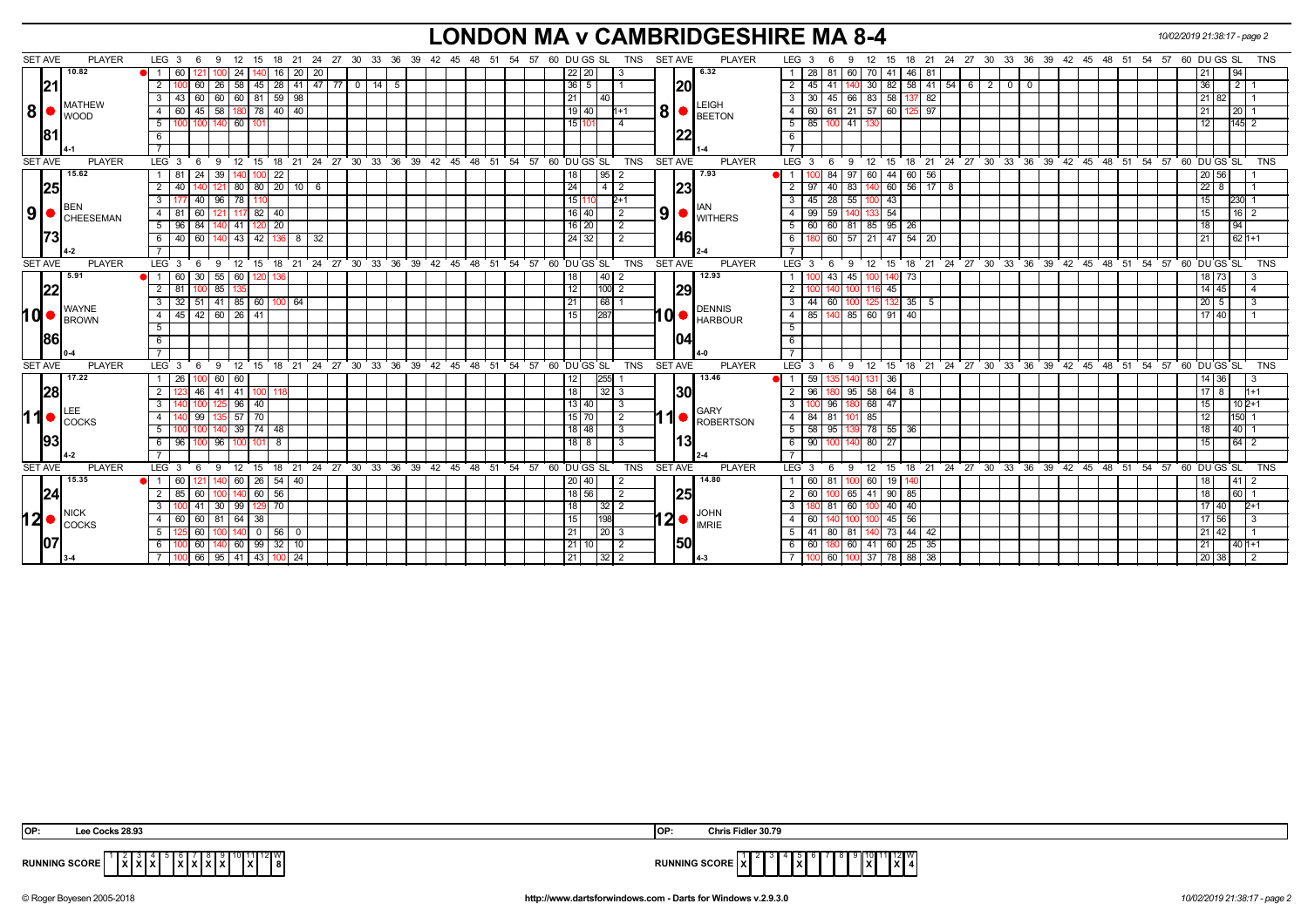# **LONDON MA v CAMBRIDGESHIRE MA 8-4** *10/02/2019 21:38:17 - page 2*

| <b>SET AVE</b> |                         | <b>PLAYER</b>                                          | LEG 3                  | - 6   | 9                       | - 12                  | 15 18           |                    |                                               |  |                      |  | 21  24  27  30  33  36  39  42  45  48  51  54  57  60  DU GS  SL |                |                | TNS        | <b>SET AVE</b> | <b>PLAYER</b>                                                          | LEG 3                               | 9<br>-6         | 12 15                                 |                                                           |                     |  |              | 18 21 24 27 30 33 36 39 42 45 48 51 54 57                   |  |    | 60 DU GS SL |                       |                            | TNS        |
|----------------|-------------------------|--------------------------------------------------------|------------------------|-------|-------------------------|-----------------------|-----------------|--------------------|-----------------------------------------------|--|----------------------|--|-------------------------------------------------------------------|----------------|----------------|------------|----------------|------------------------------------------------------------------------|-------------------------------------|-----------------|---------------------------------------|-----------------------------------------------------------|---------------------|--|--------------|-------------------------------------------------------------|--|----|-------------|-----------------------|----------------------------|------------|
|                | 10.82                   |                                                        | $\bullet$ 1<br>60      | 121   |                         | 24                    | 16 I            | 20 20              |                                               |  |                      |  |                                                                   | $22$   20      | 3              |            |                | 6.32                                                                   | 28                                  | l 81            | 60 I                                  | 70 41                                                     | $46$ 81             |  |              |                                                             |  |    |             |                       | 94                         |            |
|                | 21                      |                                                        | 2                      | 60 I  |                         |                       |                 |                    | 26   58   45   28   41   47   77   0   14   5 |  |                      |  |                                                                   | $36 \mid 5$    |                |            | <b>20</b>      |                                                                        | 2<br>45   41                        |                 | 140.                                  | $30 \mid 82 \mid 58 \mid 41 \mid 54 \mid 6 \mid 2 \mid 0$ |                     |  | $\mathbf{0}$ |                                                             |  |    |             | 36 <sup>1</sup>       | 1211                       |            |
|                |                         |                                                        |                        | 60    | 60                      | 60 81 59 98           |                 |                    |                                               |  |                      |  |                                                                   | 21             | 40             |            |                |                                                                        | $\mathbf{3}$<br>30   45             |                 | 66<br>83 58                           |                                                           | 137 82              |  |              |                                                             |  |    |             | 82                    |                            |            |
| 8              |                         | <b>MATHEW</b>                                          | $\overline{4}$         | 45    | 58                      |                       | 78 40 40        |                    |                                               |  |                      |  |                                                                   | 19   40        |                |            | 8 <sup>1</sup> | LEIGH                                                                  | $\overline{4}$<br>$60$ 61           |                 | $21 \mid 57 \mid 60$                  | 125                                                       | 97                  |  |              |                                                             |  |    |             |                       | $\overline{20}$            |            |
|                | <b>WOOD</b>             |                                                        | 5                      |       | 100   140   60          | 101                   |                 |                    |                                               |  |                      |  |                                                                   | 15 101         |                |            |                | $\bullet$ BEETON                                                       | 5                                   | 85 100 41 130   |                                       |                                                           |                     |  |              |                                                             |  |    |             | 12                    | $145$ 2                    |            |
|                | <b>181</b>              |                                                        | -6                     |       |                         |                       |                 |                    |                                               |  |                      |  |                                                                   |                |                |            |                |                                                                        | 6                                   |                 |                                       |                                                           |                     |  |              |                                                             |  |    |             |                       |                            |            |
|                |                         |                                                        |                        |       |                         |                       |                 |                    |                                               |  |                      |  |                                                                   |                |                |            |                |                                                                        | $\overline{7}$                      |                 |                                       |                                                           |                     |  |              |                                                             |  |    |             |                       |                            |            |
| <b>SET AVE</b> |                         | <b>PLAYER</b>                                          | LEG <sub>3</sub>       | - 6   |                         |                       |                 |                    |                                               |  |                      |  | 9 12 15 18 21 24 27 30 33 36 39 42 45 48 51 54 57 60 DUGS SL      |                |                | TNS        | <b>SET AVE</b> | <b>PLAYER</b>                                                          | LEG 3 6                             |                 |                                       |                                                           |                     |  |              | 9 12 15 18 21 24 27 30 33 36 39 42 45 48 51 54 57 60 DUGSSL |  |    |             |                       |                            | <b>TNS</b> |
|                | 15.62                   |                                                        | $\overline{1}$<br>l 81 | 24    | 39                      | IOO                   | 22              |                    |                                               |  |                      |  |                                                                   | 18             | 95             |            |                | 7.93                                                                   | 00 84                               | 97              |                                       | 60 44 60 56                                               |                     |  |              |                                                             |  |    |             | 20 56                 |                            |            |
|                | 25                      |                                                        | $\overline{2}$         |       |                         | 80<br>80              |                 | $20$ 10 6          |                                               |  |                      |  |                                                                   | 24             | $\vert$<br>2   |            | 23             |                                                                        | $\overline{2}$<br>97                | 83<br>  40      |                                       | 60                                                        | $56$ 17 8           |  |              |                                                             |  |    |             | 22 <sub>1</sub><br>-8 |                            |            |
|                |                         |                                                        | 3                      | 40    | $96$   78               |                       |                 |                    |                                               |  |                      |  |                                                                   | 15             | $2+1$          |            |                |                                                                        | 3 <sup>7</sup><br>$45 \mid 28 \mid$ |                 | 55 100 43                             |                                                           |                     |  |              |                                                             |  |    |             | 15                    | 230                        |            |
|                | IBEN                    | $\vert 9 \vert$ $\bullet$ $\vert_{\texttt{CHEESEMAN}}$ | l 81<br>4              | 60    |                         | $117$ 82              | 40              |                    |                                               |  |                      |  |                                                                   | 16 40          | $\overline{2}$ |            |                | $\vert 9 \vert$ $\bullet$ $\vert_{\text{WITHERS}}^{\text{\tiny{IAN}}}$ | $\overline{4}$<br>99                | 59              | 133 54<br>1401                        |                                                           |                     |  |              |                                                             |  |    |             | 15                    | 16 <sup>2</sup>            |            |
|                |                         |                                                        | 5<br>l 96              | 84    |                         | 41<br>120             | 20 <sub>1</sub> |                    |                                               |  |                      |  |                                                                   | $16$   20      | $\overline{2}$ |            |                |                                                                        | 5                                   |                 | 60 60 81 85 95                        | 26                                                        |                     |  |              |                                                             |  |    |             | 18                    | 194                        |            |
|                | 73                      |                                                        | 6                      | 40 60 |                         |                       |                 | 140 43 42 136 8 32 |                                               |  |                      |  |                                                                   | 24 32          | $\overline{2}$ |            | 146            |                                                                        | 6                                   |                 |                                       | 180 60 57 21 47 54 20                                     |                     |  |              |                                                             |  |    |             | 21                    | $621+1$                    |            |
|                |                         |                                                        |                        |       |                         |                       |                 |                    |                                               |  |                      |  |                                                                   |                |                |            |                |                                                                        |                                     |                 |                                       |                                                           |                     |  |              |                                                             |  |    |             |                       |                            |            |
| <b>SET AVE</b> |                         | <b>PLAYER</b>                                          | LEG <sub>3</sub>       | 6     |                         |                       |                 |                    | 9 12 15 18 21 24 27 30 33                     |  | 36 39 42 45 48 51 54 |  |                                                                   | 57 60 DU GS SL |                | TNS        | SET AVE        | <b>PLAYER</b>                                                          | $LEG_3$ 6                           |                 |                                       |                                                           |                     |  |              | 9 12 15 18 21 24 27 30 33 36 39 42 45 48 51 54              |  | 57 | 60 DU GS SL |                       |                            | <b>TNS</b> |
|                | 5.91                    |                                                        |                        | 30    | 55                      | 60                    |                 |                    |                                               |  |                      |  |                                                                   |                | 40             |            |                | 12.93                                                                  | $\mathbf{1}$                        | 43              | 45                                    | 73                                                        |                     |  |              |                                                             |  |    |             | 18   73               |                            |            |
|                | 22                      |                                                        | $\overline{2}$<br>81   |       | $100$ 85                |                       |                 |                    |                                               |  |                      |  |                                                                   | 12             | $100$ 2        |            | 29             |                                                                        | $\overline{2}$<br>1001 140          |                 | 100 <sub>1</sub>                      | 116 45                                                    |                     |  |              |                                                             |  |    |             | $14 \overline{45}$    |                            |            |
|                |                         |                                                        | 3                      |       | $32$ 51 41 85 60 100 64 |                       |                 |                    |                                               |  |                      |  |                                                                   | 21             | 68             |            |                |                                                                        | $\mathbf{3}$<br>44                  | $\overline{60}$ | 100                                   | $125$ 132 35 5                                            |                     |  |              |                                                             |  |    |             | $20\overline{5}$      |                            |            |
| hd•            | <b>WAYNE</b>            | <b>BROWN</b>                                           | 45<br>$\overline{4}$   |       | $42 \ 60 \ 26 \ 41$     |                       |                 |                    |                                               |  |                      |  |                                                                   | 15             | 287            |            |                | <b>DENNIS</b><br>10 HARBOUR                                            | 4                                   |                 | $85 \mid 140 \mid 85 \mid 60 \mid 91$ | 40                                                        |                     |  |              |                                                             |  |    |             | 17140                 |                            |            |
|                |                         |                                                        | 5                      |       |                         |                       |                 |                    |                                               |  |                      |  |                                                                   |                |                |            |                |                                                                        | 5                                   |                 |                                       |                                                           |                     |  |              |                                                             |  |    |             |                       |                            |            |
|                | 186                     |                                                        | 6                      |       |                         |                       |                 |                    |                                               |  |                      |  |                                                                   |                |                |            |                |                                                                        | 6                                   |                 |                                       |                                                           |                     |  |              |                                                             |  |    |             |                       |                            |            |
|                |                         |                                                        |                        |       |                         |                       |                 |                    |                                               |  |                      |  |                                                                   |                |                |            |                |                                                                        | $\overline{7}$                      |                 |                                       |                                                           |                     |  |              |                                                             |  |    |             |                       |                            |            |
| <b>SET AVE</b> |                         | <b>PLAYER</b>                                          | LEG <sub>3</sub>       |       | $^{\degree}$ 12<br>9    | 15                    |                 |                    |                                               |  |                      |  | 18 21 24 27 30 33 36 39 42 45 48 51 54 57 60 DUGS SL              |                |                | TNS        | <b>SET AVE</b> | <b>PLAYER</b>                                                          | LEG 3                               | 9<br>- 6        | $12 \quad 15$                         |                                                           |                     |  |              | 18 21 24 27 30 33 36 39 42 45 48 51 54 57 60 DUGS SL        |  |    |             |                       |                            | <b>TNS</b> |
|                | 17.22                   |                                                        | 1   26                 | 100 I | 60   60                 |                       |                 |                    |                                               |  |                      |  |                                                                   | 12             | 255            |            |                | 13.46                                                                  | 59                                  |                 | 140                                   | $\vert$ 36                                                |                     |  |              |                                                             |  |    |             | 14 36                 |                            |            |
|                | 28                      |                                                        |                        | 46    | 41                      | 41 I<br>100           |                 |                    |                                               |  |                      |  |                                                                   | 18             | $32 \mid 3$    |            | 30             |                                                                        | 2<br>96   180                       |                 | $95$ 58 64                            | 8                                                         |                     |  |              |                                                             |  |    |             | 8                     | $1 + 1$                    |            |
|                |                         |                                                        | 3                      |       |                         | $96$   40             |                 |                    |                                               |  |                      |  |                                                                   | 13 40          | 3              |            |                |                                                                        | $\overline{3}$<br>$100$ 96          |                 | 180                                   | 68 47                                                     |                     |  |              |                                                             |  |    |             | 15                    | $102+1$                    |            |
| 11             | <b>I</b> COCKS          |                                                        | $\overline{4}$         | 99    |                         | 135 57 70             |                 |                    |                                               |  |                      |  |                                                                   | $15$ 70        | $\overline{2}$ |            | 1              | <b>GARY</b><br>ROBERTSON                                               | $\overline{4}$<br>$84$ 81           |                 | 85<br>101                             |                                                           |                     |  |              |                                                             |  |    |             | 12 I                  | $150 - 1$                  |            |
|                |                         |                                                        |                        |       |                         | 74<br>39 <sup>°</sup> | 48              |                    |                                               |  |                      |  |                                                                   | $18$   48      | 3              |            |                |                                                                        | 5<br>58 95                          |                 |                                       | 78 55 36                                                  |                     |  |              |                                                             |  |    |             | 18                    | 40 1                       |            |
|                | 93                      |                                                        | 96<br>- 6              | 100   | 96                      | 101<br>IOOI           | 8               |                    |                                               |  |                      |  |                                                                   | $18$ $8$       |                |            |                | 13                                                                     | 6<br>90 100                         |                 | 80 27<br>140                          |                                                           |                     |  |              |                                                             |  |    |             | 15                    | $\boxed{64}$ 2             |            |
|                |                         |                                                        |                        |       |                         |                       |                 |                    |                                               |  |                      |  |                                                                   |                |                |            |                |                                                                        |                                     |                 |                                       |                                                           |                     |  |              |                                                             |  |    |             |                       |                            |            |
| <b>SET AVE</b> |                         | <b>PLAYER</b>                                          | LEG <sub>3</sub>       | 6     | 9                       |                       |                 |                    |                                               |  |                      |  | 12 15 18 21 24 27 30 33 36 39 42 45 48 51 54 57 60 DUGS SL        |                |                | <b>TNS</b> | <b>SET AVE</b> | <b>PLAYER</b>                                                          | $LEG^3$ 3                           | 6<br>9          |                                       |                                                           |                     |  |              | 12 15 18 21 24 27 30 33 36 39 42 45 48 51 54 57 60 DUGS SL  |  |    |             |                       |                            | TNS        |
|                | 15.35                   |                                                        |                        | 121   |                         | 26<br>60              | $54$ 40         |                    |                                               |  |                      |  |                                                                   | 20   40        | 2              |            |                | 14.80                                                                  | 60   81                             |                 | 100                                   | 60 19<br>140                                              |                     |  |              |                                                             |  |    |             | 18                    | $41 \overline{\smash{)}2}$ |            |
|                | 24                      |                                                        | $\overline{2}$<br>85   | 60    |                         | $140$ 60              | 56              |                    |                                               |  |                      |  |                                                                   | 18 56          | 2              |            | 25             |                                                                        | $\overline{2}$<br>60                |                 |                                       | 65 41 90 85                                               |                     |  |              |                                                             |  |    |             | 18                    | 60 1                       |            |
|                |                         |                                                        |                        | 41    | 30 99                   | IZ.                   | 70              |                    |                                               |  |                      |  |                                                                   | 18             | 32 <br>-2      |            |                |                                                                        | $\mathbf{3}$                        | 60<br>-81       |                                       | 40<br>40                                                  |                     |  |              |                                                             |  |    |             | 7140                  |                            |            |
| 12I●           | <b>NICK</b><br>$L CCKS$ |                                                        | 4                      | 60    |                         | 38<br>64              |                 |                    |                                               |  |                      |  |                                                                   | 15             | 198            |            |                | <b>JOHN</b>                                                            | $\overline{4}$<br>60                |                 |                                       | 56<br>45                                                  |                     |  |              |                                                             |  |    |             | 7 56                  |                            |            |
|                |                         |                                                        | 5                      | 60    |                         | 0 <sup>1</sup>        | $56$ 0          |                    |                                               |  |                      |  |                                                                   | 21             | 20 3           |            |                |                                                                        | 5 <sup>1</sup><br>41                | 80              | 81                                    | 140 73                                                    | $44$ 42             |  |              |                                                             |  |    |             | 21 42                 |                            |            |
|                | 107                     |                                                        |                        | 60    |                         | 60   99               | $32$   10       |                    |                                               |  |                      |  |                                                                   | $21$ 10        | $\overline{2}$ |            | 50             |                                                                        | 6<br>60   180                       |                 |                                       | 60 41 60 25 35                                            |                     |  |              |                                                             |  |    |             |                       | $401+1$                    |            |
|                |                         |                                                        |                        |       | 66 95 41 43             |                       |                 | $\sqrt{24}$        |                                               |  |                      |  |                                                                   | 21             | $32$   2       |            |                |                                                                        | $100$ 60<br>7 <sup>1</sup>          |                 | 100 37 78                             |                                                           | $88 \overline{)38}$ |  |              |                                                             |  |    |             | 20 38                 |                            |            |

| IOP:                 | e Cocks 28.93                                   | <b>IOP</b>           | s Fidler 30.79<br>unns              |
|----------------------|-------------------------------------------------|----------------------|-------------------------------------|
| <b>RUNNING SCORE</b> | .<br>.<br><b>181</b><br>1 X I<br>1 A I<br>^ * * | <b>RUNNING SCORE</b> | 2∎W<br>.<br>$\sim$<br>^<br>. .<br>. |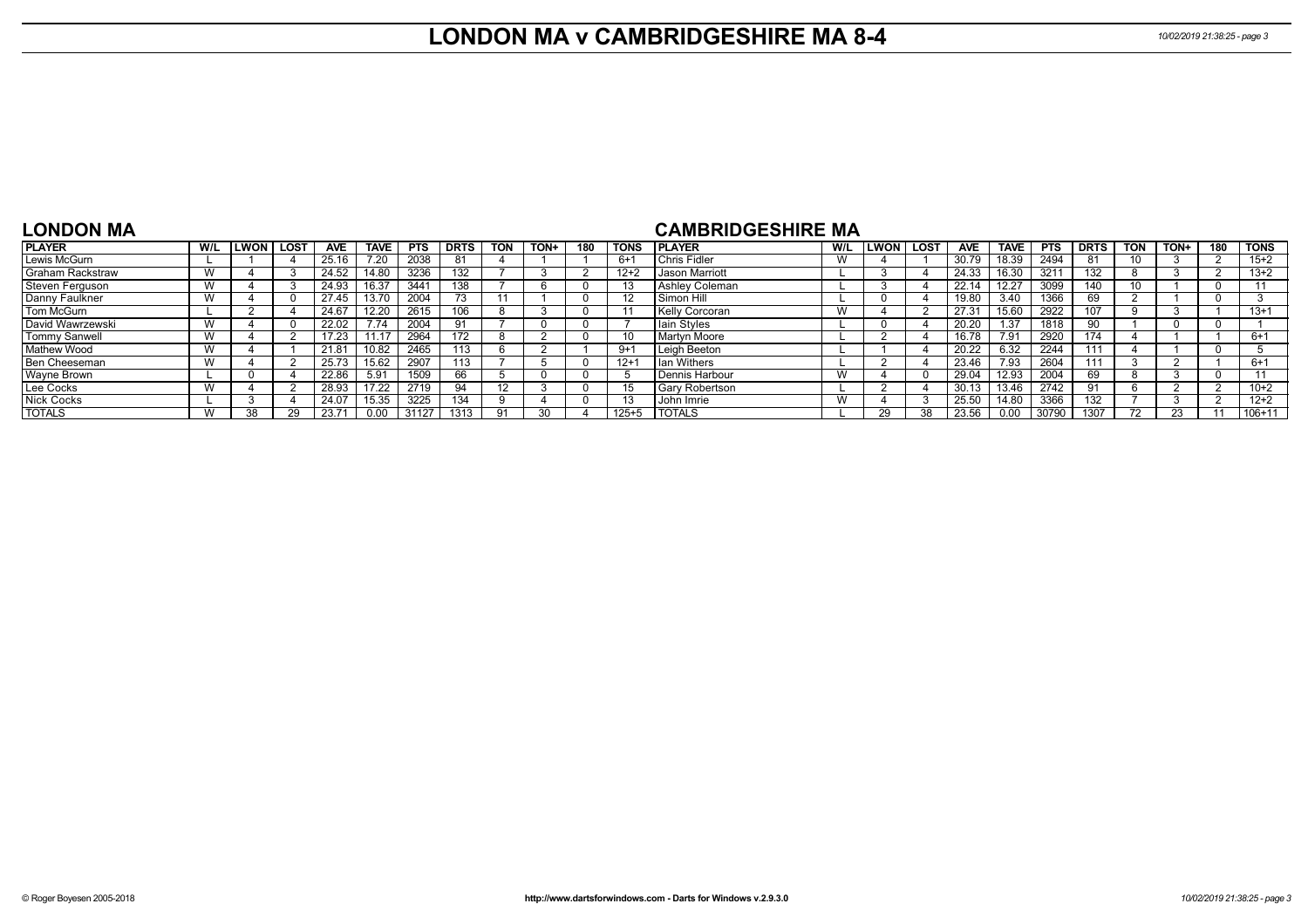## **LONDON MA v CAMBRIDGESHIRE MA 8-4** *10/02/2019 21:38:25 - page 3*

### **LONDON MA**

### **CAMBRIDGESHIRE MA**

| <b>PLAYER</b>           | W/L | WON. | . LOST | <b>AVE</b> | <b>TAVE</b> | <b>PTS</b> | <b>DRTS</b> | TON | TON+ | 180 | <b>TONS</b> | <b>I PLAYER</b>       | W/L | <b>ILWON</b> | <b>LOST</b> | <b>AVE</b> | <b>TAVE</b> | <b>PTS</b> | <b>DRTS</b> | TON | <b>TON-</b> | 180 | <b>TONS</b> |
|-------------------------|-----|------|--------|------------|-------------|------------|-------------|-----|------|-----|-------------|-----------------------|-----|--------------|-------------|------------|-------------|------------|-------------|-----|-------------|-----|-------------|
| Lewis McGurn            |     |      |        | 25.16      | 7.20        | 2038       | 81          |     |      |     | 6+1         | Chris Fidler          | W   |              |             | 30.79      | 18.39       | 2494       | 81          |     |             |     | $15+2$      |
| <b>Graham Rackstraw</b> |     |      |        | 24.52      | 14.80       | 3236       | 132         |     |      |     | $12 + 2$    | Jason Marriott        |     |              |             | 24.33      | 16.30       | 321'       | 132         |     |             |     | $13+2$      |
| Steven Ferguson         |     |      |        | 24.93      | 16.37       | 3441       | 138         |     |      |     |             | Ashley Coleman        |     |              |             | 22.14      | 12.27       | 3099       | 140         |     |             |     |             |
| Danny Faulkner          |     |      |        | 27.45      | 13.70       | 2004       | 73.         |     |      |     |             | Simon Hill            |     |              |             | 19.80      | 3.40        | 1366       | 69          |     |             |     |             |
| Tom McGurn              |     |      |        | 24.67      | 12.20       | 2615       | 106         |     |      |     |             | <b>Kelly Corcoran</b> |     |              |             | 27.3'      | 15.60       | 2922       | 107         |     |             |     | $13+1$      |
| David Wawrzewski        |     |      |        | 22.02      | 1.14        | 2004       | 91          |     |      |     |             | Iain Styles           |     |              |             | 20.20      | 1.37        | 1818       | 90          |     |             |     |             |
| <b>Tommy Sanwell</b>    |     |      |        | 17.23      |             | 2964       | 172         |     |      |     |             | Martyn Moore          |     |              |             | 16.78      | 7.91        | 2920       | 174         |     |             |     | $6+1$       |
| <b>Mathew Wood</b>      |     |      |        | 21.81      | 10.82       | 2465       | 113         | h   |      |     | $9+$        | Leigh Beeton          |     |              |             | 20.22      | 6.32        | 2244       | 111         |     |             |     |             |
| Ben Cheeseman           |     |      |        | 25.73      | 15.62       | 2907       | 113         |     |      |     | $12 + 1$    | I Ian Withers         |     |              |             | 23.46      | 7.93        | 2604       | 111         |     |             |     | $6+1$       |
| Wayne Brown             |     |      |        | 22.86      | 5.91        | 1509       | 66          |     |      |     |             | Dennis Harbour        |     |              |             | 29.04      | 12.93       | 2004       | 69          |     |             |     |             |
| Lee Cocks               |     |      |        | 28.93      | 17.22       | 2719       | 94          | 12  |      |     |             | <b>Gary Robertson</b> |     |              |             | 30.13      | 13.46       | 2742       | 91          |     |             |     | $10+2$      |
| <b>Nick Cocks</b>       |     |      |        | 24.07      | 15.35       | 3225       | 134         | a   |      |     |             | John Imrie            |     |              | $\epsilon$  | 25.50      | 14.80       | 3366       | 132         |     |             |     | $12+2$      |
| <b>TOTALS</b>           |     |      |        | 23.7'      |             | 31127      | 1313        | 91  | 30.  |     | 125+5       | <b>TOTALS</b>         |     | 29.          | 38          | 23.56      | 0.00        | 30790      | 1307        |     |             |     | $106 + 11$  |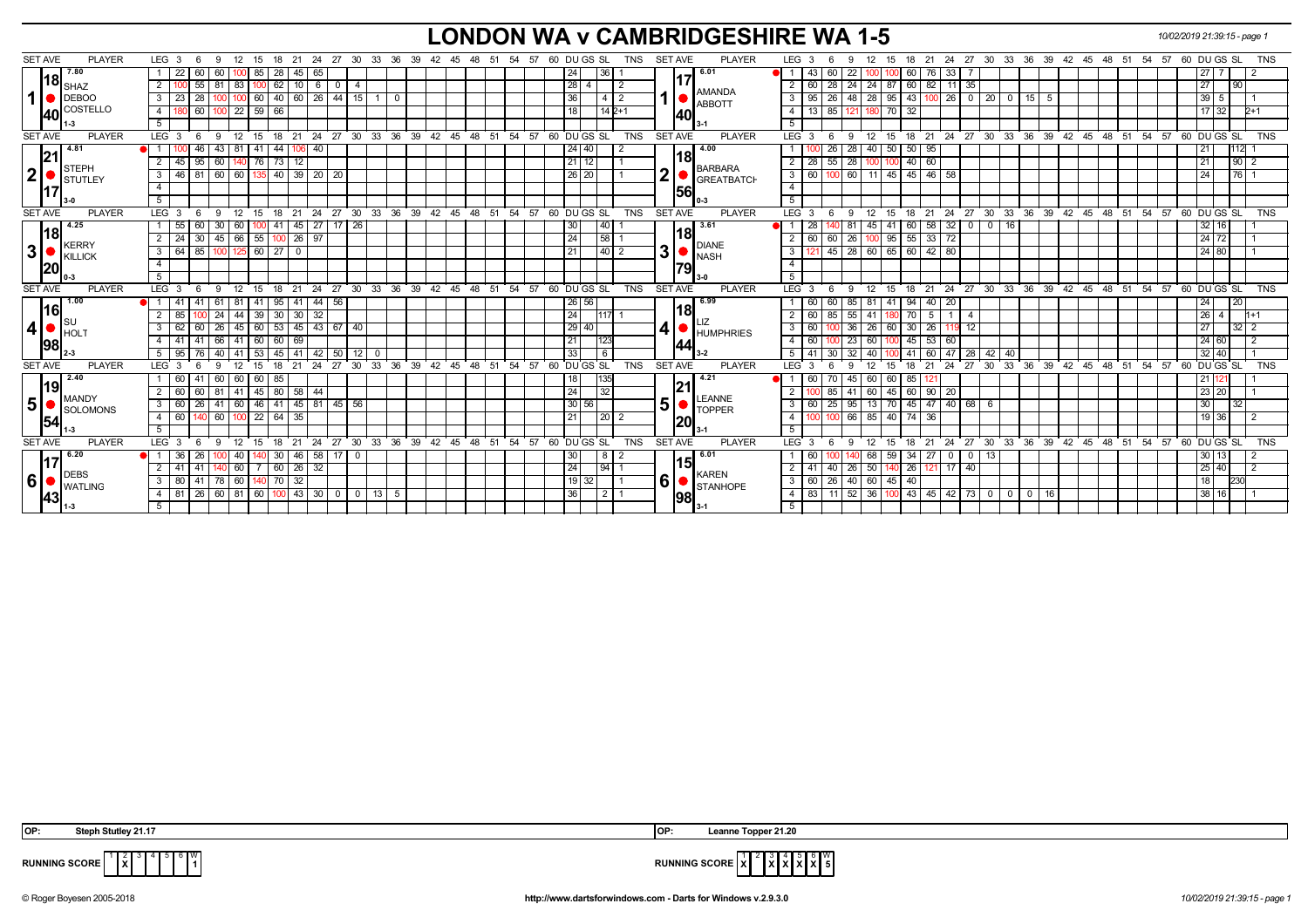## **LONDON WA v CAMBRIDGESHIRE WA 1-5** *10/02/2019 21:39:15 - page 1*

| <b>PLAYER</b><br><b>SET AVE</b>    | LEG <sub>3</sub><br>- 6    | 12<br>15<br>-9               | 18<br>21          |                |                      | 24 27 30 33 36 39 42 45 48 51 54 57 |  |    | 60 DU GS SL                                              | <b>TNS</b> | <b>SET AVE</b> |                     | <b>PLAYER</b>                                                      |                | LEG <sub>3</sub> | -6<br>9                             | 12            | 15<br>18 21            |                                              |               |              |              |                      |  |  | 24 27 30 33 36 39 42 45 48 51 54 57 60 DU GS SL         |                |                      | <b>TNS</b> |
|------------------------------------|----------------------------|------------------------------|-------------------|----------------|----------------------|-------------------------------------|--|----|----------------------------------------------------------|------------|----------------|---------------------|--------------------------------------------------------------------|----------------|------------------|-------------------------------------|---------------|------------------------|----------------------------------------------|---------------|--------------|--------------|----------------------|--|--|---------------------------------------------------------|----------------|----------------------|------------|
| 7.80                               | 22<br>60                   | 85<br>60                     | 28                | 45 65          |                      |                                     |  |    | l 24 l<br>  36                                           |            |                |                     | 6.01                                                               |                | 43               |                                     |               | 60 <sup>1</sup>        | 33<br>76                                     |               |              |              |                      |  |  | 27                                                      |                |                      |            |
| $\mathbf{18}\vert_{\mathsf{SHAZ}}$ | 55<br>2 <sup>1</sup>       | 83                           | 62                | $10$ 6         | $\overline{0}$       |                                     |  |    | 28                                                       |            |                |                     |                                                                    |                | 60               | 28                                  | 24            | 87<br>60               | 82<br>11                                     | 35            |              |              |                      |  |  | 27                                                      |                | 90                   |            |
| 1<br>$\bigtriangledown$ DEBOO      | 28<br>- 3 I<br>23          | 60                           | 40<br>60 I        | 26             | 44 15                | $\mathbf 0$                         |  |    | 36                                                       | 412        |                |                     | <b>AMANDA</b><br><b>ABBOTT</b>                                     |                | 95               | 48<br>26                            | 28            | 95<br> 43              | $100$ 26                                     | $0 \mid 20$   | $\mathbf{0}$ | 15           | -5                   |  |  | 39                                                      | 5              |                      |            |
| COSTELLO<br>140I                   | 60<br>4 I                  | $100$ 22                     | 59 66             |                |                      |                                     |  |    | 18                                                       | $142+1$    |                | 140                 |                                                                    | 4              | 13               | 85                                  | 180           | 70<br>32               |                                              |               |              |              |                      |  |  |                                                         | 17 32          | $2+1$                |            |
|                                    | 5 <sup>5</sup>             |                              |                   |                |                      |                                     |  |    |                                                          |            |                |                     |                                                                    | 5              |                  |                                     |               |                        |                                              |               |              |              |                      |  |  |                                                         |                |                      |            |
| <b>SET AVE</b><br><b>PLAYER</b>    | LEG <sub>3</sub>           | 12<br>$\mathbf{q}$<br>15     | 21<br>18          | 24             |                      | 27 30 33 36 39 42 45 48 51          |  | 54 | 57 60 DUGS SL                                            | <b>TNS</b> |                | <b>SET AVE</b>      | <b>PLAYER</b>                                                      | LEG 3          |                  | -9                                  | 12            | $15 \quad 18 \quad 21$ |                                              |               |              |              |                      |  |  | 24 27 30 33 36 39 42 45 48 51 54 57 60 DUGS SL          |                |                      | <b>TNS</b> |
| 4.81                               | 46                         | 41<br>43<br>  81             | 44                | 06 40          |                      |                                     |  |    | $\sqrt{24}$   40                                         |            |                | 18                  | 4.00                                                               |                |                  | $\overline{\phantom{1}}$ 28<br>26 I | 40 I          | 50 <sub>1</sub><br> 50 | 95                                           |               |              |              |                      |  |  | 21                                                      |                |                      |            |
| l2'<br><b>STEPH</b>                | 95<br><sup>2</sup><br>45   | 60 140                       | 76 73 12          |                |                      |                                     |  |    | 21 12                                                    |            |                |                     | <b>BARBARA</b>                                                     | 2 <sup>1</sup> | 28               | $55 \mid 28$                        | 100           | 40                     | 60                                           |               |              |              |                      |  |  | 21                                                      |                | 90<br>2              |            |
| $\mathbf{2}$<br>STUTLEY            | 3   46   81                | 60 60                        | 135 40 39 20 20   |                |                      |                                     |  |    | 26 20                                                    |            | $\overline{2}$ |                     | <b>GREATBATCH</b>                                                  |                | $3 \mid 60$      | 100 60 11 45 45 46 58               |               |                        |                                              |               |              |              |                      |  |  | 24                                                      |                | 76                   |            |
|                                    | $\overline{4}$             |                              |                   |                |                      |                                     |  |    |                                                          |            |                | 56                  |                                                                    | $\overline{4}$ |                  |                                     |               |                        |                                              |               |              |              |                      |  |  |                                                         |                |                      |            |
| 3-0                                | 5 <sup>5</sup>             |                              |                   |                |                      |                                     |  |    |                                                          |            |                | l 0-3               |                                                                    | 5              |                  |                                     |               |                        |                                              |               |              |              |                      |  |  |                                                         |                |                      |            |
| <b>SET AVE</b><br><b>PLAYER</b>    | LEG <sub>3</sub><br>6      | 9 12<br>15                   |                   |                |                      |                                     |  |    | 18 21 24 27 30 33 36 39 42 45 48 51 54 57 60 DUGS SL     | <b>TNS</b> | <b>SET AVE</b> |                     | <b>PLAYER</b>                                                      | $LEG \ 3$      |                  | -6<br>9                             | 12            |                        |                                              |               |              |              |                      |  |  | 15 18 21 24 27 30 33 36 39 42 45 48 51 54 57 60 DUGS SL |                |                      | TNS        |
| 4.25                               | 60<br>55                   | 30<br>60                     | -41               | $45 \mid 27$   | $17 \mid 26$         |                                     |  |    | 30 <sub>1</sub><br>40 I                                  |            |                |                     | 3.61                                                               |                | 28               |                                     | 45            | 60<br>-41              | 58<br> 32                                    | $0$   0       | 16           |              |                      |  |  |                                                         | $32 \mid 16$   |                      |            |
| 18 <br>KERRY                       | 30<br>2 I<br>24            | 45 66 55 100                 |                   | $ 26 $ 97      |                      |                                     |  |    | 24 <br> 58                                               |            |                | 18                  | <b>DIANE</b>                                                       |                | $2 \mid 60$      | 60   26                             | 100           | 95                     | 55 33 72                                     |               |              |              |                      |  |  |                                                         | 24 72          |                      |            |
| 3<br>KILLICK                       | 85<br>$3 \mid 64$          | 100 125                      | 60 27<br>$\Omega$ |                |                      |                                     |  |    | 21                                                       | 40 2       | 31             | $\blacksquare$ NASH |                                                                    | 3 <sup>1</sup> | 121              | 45   28   60   65   60              |               |                        | $42 \mid 80$                                 |               |              |              |                      |  |  |                                                         | 24 80          |                      |            |
| <b>20</b>                          | $\overline{4}$             |                              |                   |                |                      |                                     |  |    |                                                          |            |                | 179                 |                                                                    | $\overline{4}$ |                  |                                     |               |                        |                                              |               |              |              |                      |  |  |                                                         |                |                      |            |
|                                    | 5 <sup>1</sup>             |                              |                   |                |                      |                                     |  |    |                                                          |            |                |                     |                                                                    | 5              |                  |                                     |               |                        |                                              |               |              |              |                      |  |  |                                                         |                |                      |            |
| <b>SET AVE</b><br><b>PLAYER</b>    | LEG <sub>3</sub><br>- 6    | $9 \quad 12$                 |                   |                |                      |                                     |  |    | 15 18 21 24 27 30 33 36 39 42 45 48 51 54 57 60 DU GS SL | <b>TNS</b> | <b>SET AVE</b> |                     | <b>PLAYER</b>                                                      | LEG 3          |                  | - 6<br>- 9                          | $^{\circ}$ 12 |                        |                                              |               |              |              |                      |  |  | 15 18 21 24 27 30 33 36 39 42 45 48 51 54 57 60 DUGS SL |                |                      | <b>TNS</b> |
| 1.00                               | 1   41<br>41               | 41<br>61<br>  81             | 95 41 44 56       |                |                      |                                     |  |    | 26 56                                                    |            |                | 18                  | 6.99                                                               |                | 60               | 60 85 81                            |               |                        | 41 94 40 20                                  |               |              |              |                      |  |  | 24                                                      |                | 20                   |            |
| 16 <br>∥s∪                         | 2 <sup>1</sup><br>85       | $\sqrt{44}$<br>39<br>24      | 30   30   32      |                |                      |                                     |  |    | 24<br>1117                                               |            |                | LIZ                 |                                                                    |                | $2 \mid 60$      | $85$ 55 41                          |               | $\overline{70}$<br>18C | 5                                            | 4             |              |              |                      |  |  | 26                                                      | $\overline{4}$ | $1 + 1$              |            |
| $\boldsymbol{4}$<br>$\blacksquare$ | 60<br>3<br>62              | 60<br>$26$ 45                |                   | 53 45 43 67 40 |                      |                                     |  |    | 29 40                                                    |            | 41             |                     | <b>HUMPHRIES</b>                                                   |                | $3 \mid 60$      |                                     | 36 26         | 60<br>$30 \mid 26$     | 119                                          | 12            |              |              |                      |  |  | 27                                                      |                | 32 <sup>1</sup><br>2 |            |
| 98                                 | 41<br>4   41               | 60<br>66 41                  | 60 69             |                |                      |                                     |  |    | 21<br>123                                                |            |                | 44                  |                                                                    |                | $4 \mid 60$      |                                     | 23 60         | $45 \mid 53$           | 60                                           |               |              |              |                      |  |  |                                                         | 24 60          | $\overline{2}$       |            |
|                                    | 5 I<br>95<br>76            | 53<br>40<br>  41             | 45                | 41 42          | 50 12                | $\mathbf 0$                         |  |    | 33 <br>6                                                 |            |                |                     |                                                                    |                | $5 \mid 41$      | 30<br>32                            | 40            | 41                     | 60<br>47                                     |               | 28 42 40     |              |                      |  |  |                                                         | 32   40        |                      |            |
| <b>PLAYER</b><br><b>SET AVE</b>    | LEG <sub>3</sub><br>6      | 12<br>15<br>$\mathbf{q}$     | 21<br>18          | 24             |                      |                                     |  |    | 27 30 33 36 39 42 45 48 51 54 57 60 DUGS SL              | <b>TNS</b> |                | <b>SET AVE</b>      | <b>PLAYER</b>                                                      | LEG 3          |                  | 9<br>-6                             | 12            | 15<br>18               | 21                                           | $24$ 27 30    |              |              |                      |  |  | 33 36 39 42 45 48 51 54 57 60 DUGS SL                   |                |                      | <b>TNS</b> |
| 2.40<br>l19l                       | 60<br>41                   | 60<br>60<br>60               | 85                |                |                      |                                     |  |    | 18                                                       |            |                | 21                  | 4.21                                                               |                | 60               | 70<br>45                            | 60            | 60<br>85               | 12 <sub>1</sub>                              |               |              |              |                      |  |  | 21                                                      |                |                      |            |
| MANDY                              | 60<br>2 60                 | 81<br>l 41 l                 | 45 80 58 44       |                |                      |                                     |  |    | 24<br>32                                                 |            |                |                     |                                                                    | 2              |                  | 85   41                             | 60            |                        | 45 60 90 20                                  |               |              |              |                      |  |  |                                                         | 23 20          |                      |            |
| 5 <sup>1</sup><br>SOLOMONS         | 26 <sup>1</sup><br>3 60    | 46<br>41<br>  60             |                   | 41 45 81 45 56 |                      |                                     |  |    | 30 56                                                    |            |                |                     | $15$ $\bullet$ $\frac{\text{LEANNE}}{\text{LOD}}$<br><b>TOPPER</b> |                | $3 \mid 60$      | $25 \mid 95 \mid 13$                |               |                        | 70 45 47 40 68 6                             |               |              |              |                      |  |  | 30                                                      |                | 32                   |            |
| 54                                 | 4 60<br>140                | 60                           | 22   64  <br>35   |                |                      |                                     |  |    | 21 <br>$\overline{20}$                                   |            |                | 20                  |                                                                    | 4              | 100              |                                     | 66 85         | 40 74 36               |                                              |               |              |              |                      |  |  | 19                                                      | 36             |                      |            |
|                                    | 5                          |                              |                   |                |                      |                                     |  |    |                                                          |            |                |                     |                                                                    | 5              |                  |                                     |               |                        |                                              |               |              |              |                      |  |  |                                                         |                |                      |            |
| <b>SET AVE</b><br><b>PLAYER</b>    | LEG <sub>3</sub>           | -9<br>12<br>15               | 21<br>18          | 24             |                      | 27 30 33 36 39 42 45 48 51          |  |    | 54 57 60 DUGS SL                                         | <b>TNS</b> |                | <b>SET AVE</b>      | <b>PLAYER</b>                                                      | LEG 3          |                  | -9                                  | 12            | 15<br>18               | -24<br>21                                    | $27 \cdot 30$ |              |              | 33 36 39 42 45 48 51 |  |  | $54$ $57$ $60$ DU GS SL                                 |                |                      | TNS        |
| 6.20                               | 36<br>26                   | 40                           | 30                | $46$ 58        | 17 L O               |                                     |  |    | 30 <br>8                                                 |            |                | 15                  | 6.01                                                               |                | 60               |                                     | 68            | 59<br>-34 I            | 27<br>$\mathbf 0$                            | 0   13        |              |              |                      |  |  | 30 <sub>l</sub>                                         | 13             |                      |            |
| DEBS                               | $2 \mid 41$<br>41          | 140 60<br>$\overline{7}$     | 60 26 32          |                |                      |                                     |  |    | 24                                                       | $94$ 1     |                |                     | <b>KAREN</b>                                                       |                | $2 \mid 41$      | 40 26                               | 50            | 26<br>140              | 17<br>121 I                                  | 40            |              |              |                      |  |  |                                                         | $25 \, 40$     | $\overline{2}$       |            |
| 6 <sup>1</sup><br><b>I</b> WATLING | 80<br>41<br>3 <sup>1</sup> | 78 60                        | 70<br>32          |                |                      |                                     |  |    | 19 32                                                    |            | 6 <sup>1</sup> |                     | STANHOPE                                                           |                | $3 \mid 60$      | $26$ 40 60                          |               | 45 40                  |                                              |               |              |              |                      |  |  | 18                                                      |                | 230                  |            |
| 43                                 | 26<br>4 81                 | 60   81   60   100   43   30 |                   |                | $0 \quad 0 \quad 13$ | 5                                   |  |    | 36<br>12 1                                               |            |                | 98                  |                                                                    |                | $4 \mid 83$      | $11 \mid 52 \mid 36$                |               |                        | $100 \mid 43 \mid 45 \mid 42 \mid 73 \mid 0$ |               | $\mathbf 0$  | $0 \quad 16$ |                      |  |  |                                                         | 38 16          |                      |            |
|                                    | 5                          |                              |                   |                |                      |                                     |  |    |                                                          |            |                |                     |                                                                    | 5 <sup>1</sup> |                  |                                     |               |                        |                                              |               |              |              |                      |  |  |                                                         |                |                      |            |

4 5 6 W



**RUNNING SCORE**  $\begin{bmatrix} 1 & 2 \\ 1 & \mathbf{X} \end{bmatrix}$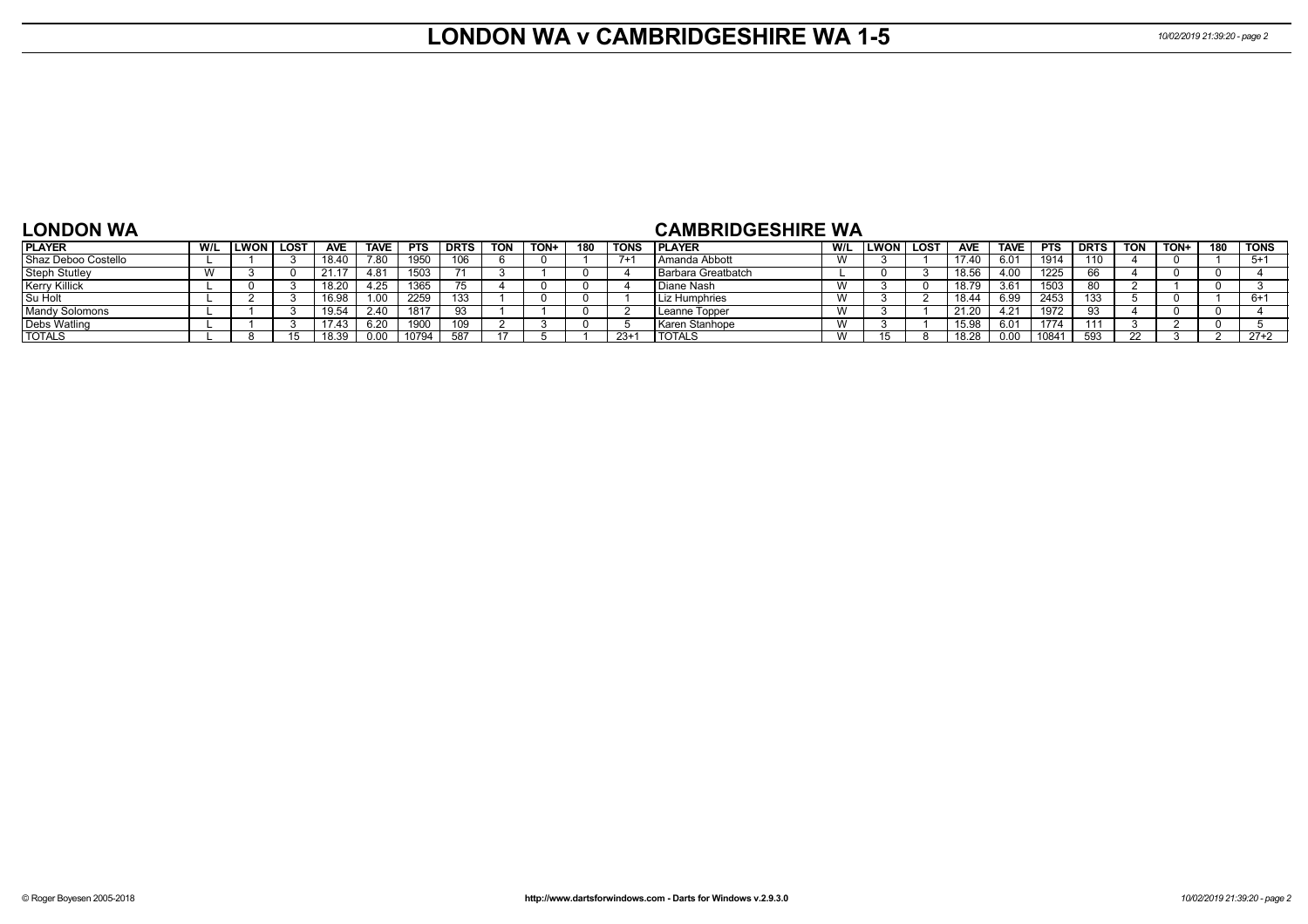## **LONDON WA v CAMBRIDGESHIRE WA 1-5** *10/02/2019 21:39:20 - page 2*

#### **LONDON WA**

### **CAMBRIDGESHIRE WA**

| <b>PLAYER</b>        | W/L | <b>ILWON</b> | <b>LOST</b> | <b>AVE</b> | <b>TAVE</b> | <b>PTS</b> | <b>DRTS</b> | <b>TON</b> | TON+ | 180 | TONS  | <b>PLAYER</b>        | W/L           | ∟WON | <b>LOST</b> | <b>AVE</b> | <b>TAVE</b> | <b>PTS</b> | <b>DRTS</b> | TON | TON+ | 180 | <b>TONS</b> |
|----------------------|-----|--------------|-------------|------------|-------------|------------|-------------|------------|------|-----|-------|----------------------|---------------|------|-------------|------------|-------------|------------|-------------|-----|------|-----|-------------|
| Shaz Deboo Costello  |     |              |             | 18.40      | 7.80        | 1950       | 106         |            |      |     |       | l Amanda Abbott      | $\lambda$     |      |             | 17.40      | 6.01        | 1914       | 110         |     |      |     |             |
| Steph Stutley        |     |              |             | 21.17      | 4.81        | 1503       |             |            |      |     |       | l Barbara Greatbatch |               |      |             | 18.56      | 4.00        | 1225       |             |     |      |     |             |
| <b>Kerry Killick</b> |     |              |             |            | .25         | 1365       |             |            |      |     |       | Diane Nash           | W             |      |             | 18.79      | 3.61        | 1503       |             |     |      |     |             |
| Su Holt              |     |              |             | 160        | .00         | 2259       | 133         |            |      |     |       | Liz Humphries        | W             |      |             | 18.44      | 6.99        | 2453       |             |     |      |     |             |
| Mandy Solomons       |     |              |             |            | 2.4C        | 1817       |             |            |      |     |       | Leanne Topper        | W             |      |             | 21.20      | 4.21        | 1972       | -93         |     |      |     |             |
| <b>Debs Watling</b>  |     |              |             | 17.43      | 6.20        | 190        | 109         |            |      |     |       | Karen Stanhope       | $\mathcal{M}$ |      |             | 15.98      | 6.01        | 1774       |             |     |      |     |             |
| <b>TOTALS</b>        |     |              |             | 12 PU      | 0.00        | 10794      | <b>EO7</b>  |            |      |     | $23+$ | <b>TOTALS</b>        | W             |      |             | 18.28      | ი იი        | 10841      | 593         |     |      |     | $27+2$      |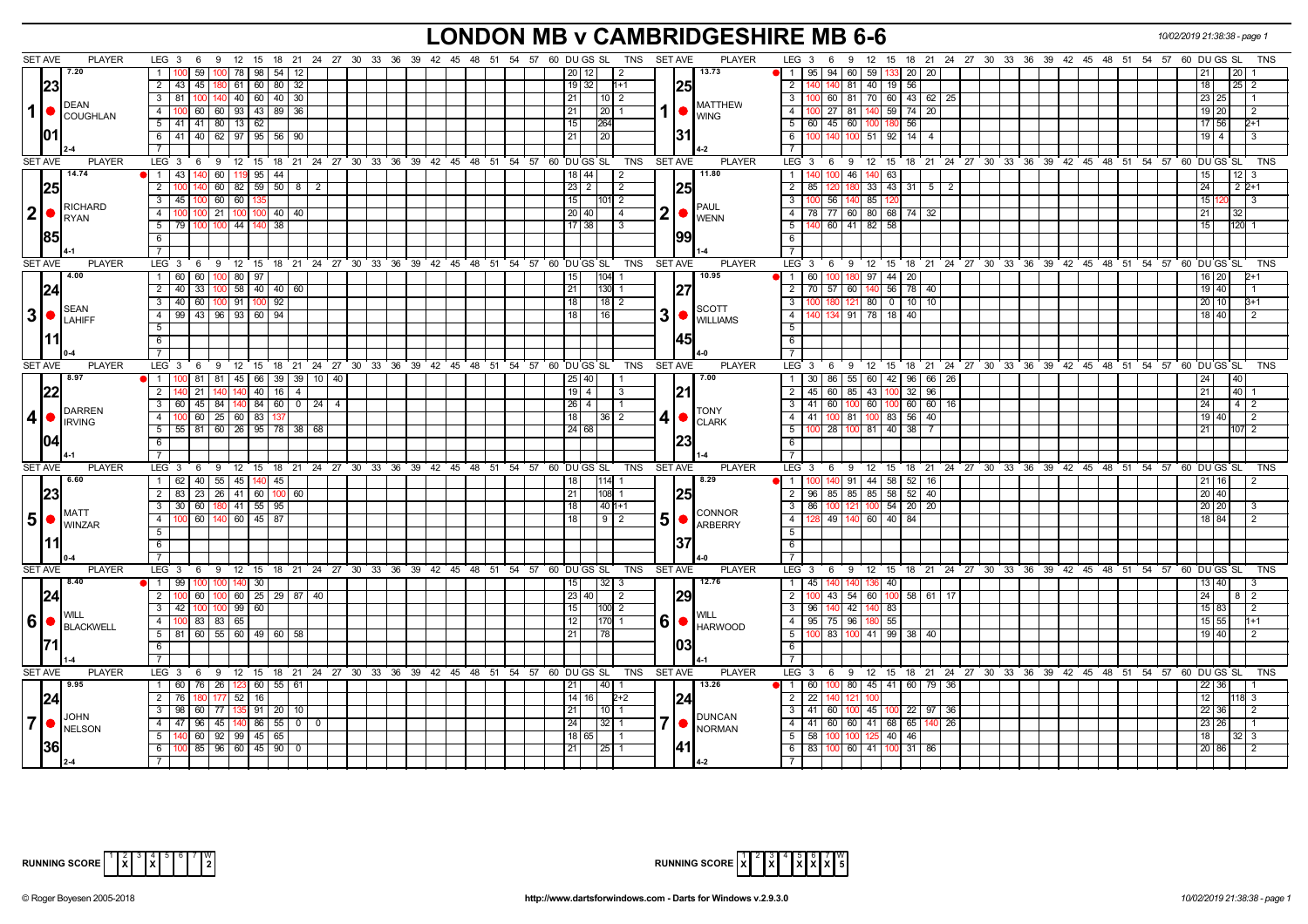### **LONDON MB v CAMBRIDGESHIRE MB 6-6** *10/02/2019 21:38:38 - page 1*

|                  | SET AVE<br><b>PLAYER</b>                                         | LEG $3 \quad 6$                                                      |                         |                                                              | 9 12 15 18 21 24 27 30 33 36 39 42 45 48 51 54 57 60 DUGS SL TNS SETAVE | <b>PLAYER</b>                   | 9 12 15 18 21 24 27 30 33 36 39 42 45 48 51 54 57 60 DUGS SL<br>$LEG_36$                  |                                                      | TNS                                       |
|------------------|------------------------------------------------------------------|----------------------------------------------------------------------|-------------------------|--------------------------------------------------------------|-------------------------------------------------------------------------|---------------------------------|-------------------------------------------------------------------------------------------|------------------------------------------------------|-------------------------------------------|
|                  | 7.20                                                             | 11100<br>59<br>100   78   98   54   12                               |                         |                                                              | 20   12<br>$\sqrt{2}$                                                   | 13.73                           | $\overline{1}$<br>$95 \mid 94 \mid 60 \mid 59 \mid$<br>133 20 20                          |                                                      | 21<br>$20$   1                            |
|                  | 23                                                               | 2 43 45<br>0 61 60 80 32                                             |                         |                                                              | $19$ 32<br>1+1                                                          | I25I                            | 81<br>40 19 56<br>$\overline{2}$                                                          |                                                      | 18 <sup>1</sup><br>$25 \mid 2$            |
|                  |                                                                  | $140$ 40 60 40 30<br>$3 \mid 81$<br>100                              |                         |                                                              | 21<br>$10$   2                                                          |                                 | 100 60 81 70 60 43 62 25<br>$\overline{\mathbf{3}}$                                       |                                                      | 23 25<br>$\vert$ 1                        |
| 1                | <b>DEAN</b>                                                      | 4   100   60   60   93   43   89   36                                |                         |                                                              | 1<br>21<br> 20 1                                                        | <b>MATTHEW</b>                  | $\overline{4}$<br>100 27 81 140 59 74 20                                                  |                                                      | 19 20<br>$\overline{2}$                   |
|                  | COUGHLAN                                                         | $\overline{5}$   41   41   80   13   62                              |                         |                                                              | 15 <sup>1</sup><br>1264                                                 | <b>WING</b>                     | 5<br>  60   45   60   100 180<br>56                                                       |                                                      | 17 56<br>$2 + 1$                          |
|                  |                                                                  | 6 41 40 62 97 95 56 90                                               |                         |                                                              | 21<br>20                                                                | 131                             | 6<br>100 140 100 51 92 14 4                                                               |                                                      | 19   4<br>l 3                             |
|                  |                                                                  | $\overline{7}$                                                       |                         |                                                              |                                                                         |                                 |                                                                                           |                                                      |                                           |
| <b>SET AVE</b>   | <b>PLAYER</b>                                                    | $LEG_3$ 6                                                            |                         | 9 12 15 18 21 24 27 30 33 36 39 42 45 48 51 54 57 60 DUGS SL | TNS                                                                     | <b>SET AVE</b><br><b>PLAYER</b> | LEG 3 6 9 12 15 18 21 24 27 30 33 36 39 42 45 48 51 54 57 60 DUGS SL                      |                                                      | <b>TNS</b>                                |
|                  | 14.74                                                            | $1 \overline{43}$<br>60 119 95 44<br>140                             |                         |                                                              | 18   44                                                                 | 11.80                           | $\overline{1}$<br>40 100 46 140 63                                                        |                                                      | $12$   3                                  |
|                  |                                                                  | $\overline{2}$                                                       |                         |                                                              | 2                                                                       |                                 | 180                                                                                       |                                                      | 15 <sub>1</sub>                           |
|                  | 25                                                               | $60 \mid 82 \mid 59 \mid 50 \mid 8$                                  | $\overline{2}$          |                                                              | $23 \mid 2$<br>$\sqrt{2}$                                               |                                 | $\overline{2}$<br>$33 \mid 43 \mid 31 \mid 5 \mid 2$<br>85                                |                                                      | 24<br>$2P+1$                              |
|                  | RICHARD                                                          | $3 \overline{45}$<br>60 60                                           |                         |                                                              | 15 <sup>1</sup><br>101  2                                               | <b>PAUL</b>                     | $\overline{3}$<br>56 140 85                                                               |                                                      | 15 <sup>1</sup><br>$\overline{3}$         |
| 2                | RYAN                                                             | 21 100<br>4 100<br>40   40                                           |                         |                                                              | 2<br>20 40 <br>$\overline{4}$                                           | <b>WENN</b>                     | $\overline{4}$<br>78 77 60 80 68 74 32                                                    |                                                      | 21<br>32.                                 |
|                  |                                                                  | $5 \mid 79$<br>$100$ 44<br>38                                        |                         |                                                              | $17 \mid 38$<br>l 3                                                     |                                 | $-5$<br>40 60 41 82 58                                                                    |                                                      | 15<br>$120$ 1                             |
|                  | 1851                                                             | 6                                                                    |                         |                                                              |                                                                         | 1991                            | 6                                                                                         |                                                      |                                           |
|                  |                                                                  |                                                                      |                         |                                                              |                                                                         |                                 | $\overline{7}$                                                                            |                                                      |                                           |
|                  | <b>SET AVE</b><br><b>PLAYER</b>                                  | $LEG_36$                                                             |                         |                                                              | 9 12 15 18 21 24 27 30 33 36 39 42 45 48 51 54 57 60 DUGS SL TNS SETAVE | PLAYER                          | LEG <sup>3</sup><br>12 15 18 21 24 27 30 33 36 39 42 45 48 51 54 57 60 DUGS SL<br>69      |                                                      | TNS                                       |
|                  | 4.00                                                             | $1 \overline{60}$<br>60<br>$100$ 80 $\sqrt{97}$                      |                         |                                                              | $104$ 1<br>15 <sub>1</sub>                                              | 10.95                           | 180 97 44 20<br>60 I<br>$\overline{1}$                                                    |                                                      | 16 20<br>2+1                              |
|                  | 1241                                                             | 2   40   33   100   58   40   40   60                                |                         |                                                              | $130$ 1<br>21                                                           | 127                             | $\overline{2}$<br>70 57 60 140 56 78 40                                                   |                                                      | 19 40                                     |
|                  | <b>SEAN</b>                                                      | 3   40   60   100   91<br>92<br>100                                  |                         |                                                              | 18<br>$18$   2                                                          | <b>SCOTT</b>                    | $\overline{\mathbf{3}}$<br>100 180 121 80 0 10 10                                         |                                                      | $20$ 10<br>$3 + 1$                        |
| 3                | <b>ILAHIFF</b>                                                   | 4 99 43 96 93 60 94                                                  |                         |                                                              | 3 <sup>1</sup><br>16<br>18 I                                            | <b>WILLIAMS</b>                 | $\overline{4}$<br>40 134 91 78 18 40                                                      |                                                      | 18 40<br>l 2                              |
|                  |                                                                  | 5 <sub>1</sub>                                                       |                         |                                                              |                                                                         |                                 | 5                                                                                         |                                                      |                                           |
|                  |                                                                  | 6                                                                    |                         |                                                              |                                                                         | 1451                            | 6                                                                                         |                                                      |                                           |
|                  |                                                                  | $7^{\circ}$                                                          |                         |                                                              |                                                                         |                                 | $\overline{7}$                                                                            |                                                      |                                           |
| <b>SET AVE</b>   | <b>PLAYER</b>                                                    | LEG 3 6 9 12 15 18 21 24 27 30 33 36 39 42 45 48 51 54 57 60 DUGS SL |                         |                                                              | TNS                                                                     | <b>SET AVE</b><br><b>PLAYER</b> | LEG 3 6 9 12 15 18 21 24 27 30 33 36 39 42 45 48 51 54 57 60 DUGS SL                      |                                                      | TNS                                       |
|                  | 8.97                                                             | 1   100   81   81   45   66   39   39   10   40                      |                         |                                                              | 25   40                                                                 | 7.00                            | 30   86   55   60   42   96   66   26<br>$\mathbf{1}$                                     |                                                      | 24                                        |
|                  | l22l                                                             | 2 140 21<br>140 140 40 16 4                                          |                         |                                                              | $19$   4<br>3                                                           | 21                              | $\overline{2}$<br>45 60 85 43 100 32 96                                                   |                                                      | $40 \mid 1$<br>21                         |
|                  | DARREN                                                           | 3 60 45 84 140 84 60 0 24 4                                          |                         |                                                              | $26$ 4<br>$\vert$ 1                                                     | <b>TONY</b>                     | $\overline{\mathbf{3}}$<br>41 60 100 60 100 60 60 16                                      |                                                      | 24<br>$4 \mid 2$                          |
| $\vert$          | <b>FIRVING</b>                                                   | 4   100 60   25   60   83   137                                      |                         |                                                              | 4<br>18<br>$\overline{36}$   2                                          | <b>CLARK</b>                    | $\overline{4}$<br>41   100   81   100   83   56   40                                      |                                                      | 19 40<br>$\begin{array}{c} 2 \end{array}$ |
|                  |                                                                  | $5 \mid 55 \mid 81 \mid 60 \mid 26 \mid 95 \mid 78 \mid 38 \mid 68$  |                         |                                                              | $\overline{24}$ 68                                                      |                                 | $\overline{5}$<br>100 28 100 81 40 38 7                                                   |                                                      | $107\overline{2}$<br>21                   |
|                  |                                                                  | 6                                                                    |                         |                                                              |                                                                         |                                 | 6                                                                                         |                                                      |                                           |
|                  |                                                                  |                                                                      |                         |                                                              |                                                                         |                                 | $\overline{7}$                                                                            |                                                      |                                           |
|                  | SET AVE<br><b>PLAYER</b>                                         | LEG 3 6 9 12 15 18 21 24 27 30 33 36 39 42 45 48 51 54 57 60 DUGS SL |                         |                                                              | TNS SET AVE                                                             | <b>PLAYER</b>                   | LEG 3 6 9 12 15 18 21 24 27 30 33 36 39 42 45 48 51 54 57 60 DUGS SL                      |                                                      | <b>TNS</b>                                |
|                  | 6.60                                                             | $1 \overline{62}$<br>40 55 45 140<br>45                              |                         |                                                              | 1141                                                                    | 8.29                            | 44 58<br>$\overline{1}$<br>91<br>$52$ 16                                                  |                                                      | 211                                       |
|                  |                                                                  | 2 83 23 26 41 60 100 60                                              |                         |                                                              | 21<br>108 1                                                             |                                 | 2<br>96   85   85   85   58   52   40                                                     |                                                      | 20 40                                     |
|                  | <b>IMATT</b>                                                     | 3 30 60 180 41 55 95                                                 |                         |                                                              | 18 <sup>1</sup><br>40 1+1                                               | <b>CONNOR</b>                   | $\overline{3}$<br>86   100   121   100   54   20   20                                     |                                                      | 20 20                                     |
|                  | $\vert 5 \vert$ $\bullet$ $\vert_{\text{WINZAR}}^{\text{MAI-I}}$ | 4 100 60 140 60 45 87                                                |                         |                                                              | 5<br>$9$  2<br>18                                                       | <b>ARBERRY</b>                  | $\overline{4}$<br>128 49 140 60 40 84                                                     |                                                      | 18 84                                     |
|                  |                                                                  | 5                                                                    |                         |                                                              |                                                                         |                                 | $\overline{5}$                                                                            |                                                      |                                           |
|                  |                                                                  | 6                                                                    |                         |                                                              |                                                                         |                                 | 6                                                                                         |                                                      |                                           |
|                  |                                                                  | $\overline{7}$                                                       |                         |                                                              |                                                                         |                                 |                                                                                           |                                                      |                                           |
| <b>SET AVE</b>   | <b>PLAYER</b>                                                    | $LEG_3$ 6<br>9 12 15                                                 |                         |                                                              | 18 21 24 27 30 33 36 39 42 45 48 51 54 57 60 DUGS SL TNS SETAVE         | <b>PLAYER</b>                   | LEG <sup>3</sup><br>$12 \quad 15$<br>6<br>- 9                                             | 18 21 24 27 30 33 36 39 42 45 48 51 54 57 60 DUGS SL | <b>TNS</b>                                |
|                  | 8.40                                                             | $1 \overline{99}$<br>$100$ 140 30<br>100                             |                         |                                                              | $32 \mid 3$<br>15 <sub>l</sub>                                          | 12.76                           | 140 136 40<br>$\mathbf{1}$<br> 45                                                         |                                                      | 13 40<br>$\vert$ 3                        |
|                  | 24                                                               | 2 100 60<br>$100 \mid 60 \mid 25 \mid 29 \mid 87 \mid 40$            |                         |                                                              | 23 40 <br>$\sqrt{2}$                                                    | 29                              | $\overline{2}$<br>100 43 54 60 100 58 61 17                                               |                                                      | 24<br>$8 \mid 2$                          |
|                  |                                                                  | $3 \t 42 \t 100$<br>$100$ 99 60                                      |                         |                                                              | 15<br>100 2                                                             |                                 | $\overline{\mathbf{3}}$<br>96   140   42<br>140 83                                        |                                                      | $15 \ 83$<br>$\overline{2}$               |
| $6 \overline{6}$ | BLACKWELL                                                        | 4 100 83 83 65                                                       |                         |                                                              | 6<br>12 <sub>1</sub><br>170 1                                           | <b>HARWOOD</b>                  | $\overline{4}$<br>95 75 96 180 55                                                         |                                                      | 15 55<br>$1 + 1$                          |
|                  |                                                                  | $5$   81   60   55   60   49   60   58                               |                         |                                                              | 21<br>78                                                                |                                 | 5<br>100 83 100 41 99 38 40                                                               |                                                      | 19 40<br>$\overline{2}$                   |
|                  |                                                                  | 6                                                                    |                         |                                                              |                                                                         | 103                             | 6                                                                                         |                                                      |                                           |
|                  |                                                                  |                                                                      |                         |                                                              |                                                                         |                                 |                                                                                           |                                                      |                                           |
| SET AVE          | <b>PLAYER</b>                                                    | $LEG_36$                                                             |                         | 9 12 15 18 21 24 27 30 33 36 39 42 45 48 51 54 57 60 DUGS SL | TNS                                                                     | <b>PLAYER</b><br>SET AVE        | LEG <sup>3</sup><br>12 15 18 21 24 27 30 33 36 39 42 45 48 51 54 57 60 DUGS SL<br>$6 \t9$ |                                                      | <b>TNS</b>                                |
|                  | 9.95                                                             | 1 60 76 26 123 60 55 61                                              |                         |                                                              | 14011<br>l 21 I                                                         | 13.26                           | 60 100 80 45 41 60 79 36<br>11                                                            |                                                      | 22 36                                     |
|                  | 124                                                              | $2 \mid 76$<br>$52$   16                                             |                         |                                                              | 14   16<br>$2 + 2$                                                      | 124                             | $\overline{2}$<br>$\overline{22}$                                                         |                                                      | 12<br>18 3                                |
|                  | JOHN                                                             | $3 \mid 98$<br>60<br>77   135   91   20   10                         |                         |                                                              | 21<br>10   1                                                            | <b>DUNCAN</b>                   | $\overline{\mathbf{3}}$<br>$41$ 60<br>45 100 22 97 36<br>100                              |                                                      | $22 \mid 36$<br>$\sqrt{2}$                |
| 7 <sup>1</sup>   | NELSON                                                           | 4 47 96<br>45 140 86 55 0                                            | $\overline{\mathbf{0}}$ |                                                              | 7<br>24<br>$32$   1                                                     | <b>NORMAN</b>                   | $\overline{4}$<br>41 60 60 41 68 65<br>$140$ 26                                           |                                                      | 23 26<br>$\overline{1}$ 1                 |
|                  |                                                                  | $5 \mid 140 \mid 60 \mid 92 \mid 99 \mid 45 \mid 65$                 |                         |                                                              | 18 65                                                                   |                                 | $\overline{5}$<br>$125$ 40 46<br>58 100<br>10 <sup>c</sup>                                |                                                      | 18<br>32   3                              |
|                  | 361                                                              | $6 \mid 100 \mid 85 \mid 96 \mid 60 \mid 45 \mid 90 \mid 0$          |                         |                                                              | 21<br>$25$ 1                                                            |                                 | 6<br>83 100 60 41 100 31 86                                                               |                                                      | 20 86<br>$\overline{2}$                   |
|                  |                                                                  |                                                                      |                         |                                                              |                                                                         |                                 | $\overline{7}$                                                                            |                                                      |                                           |

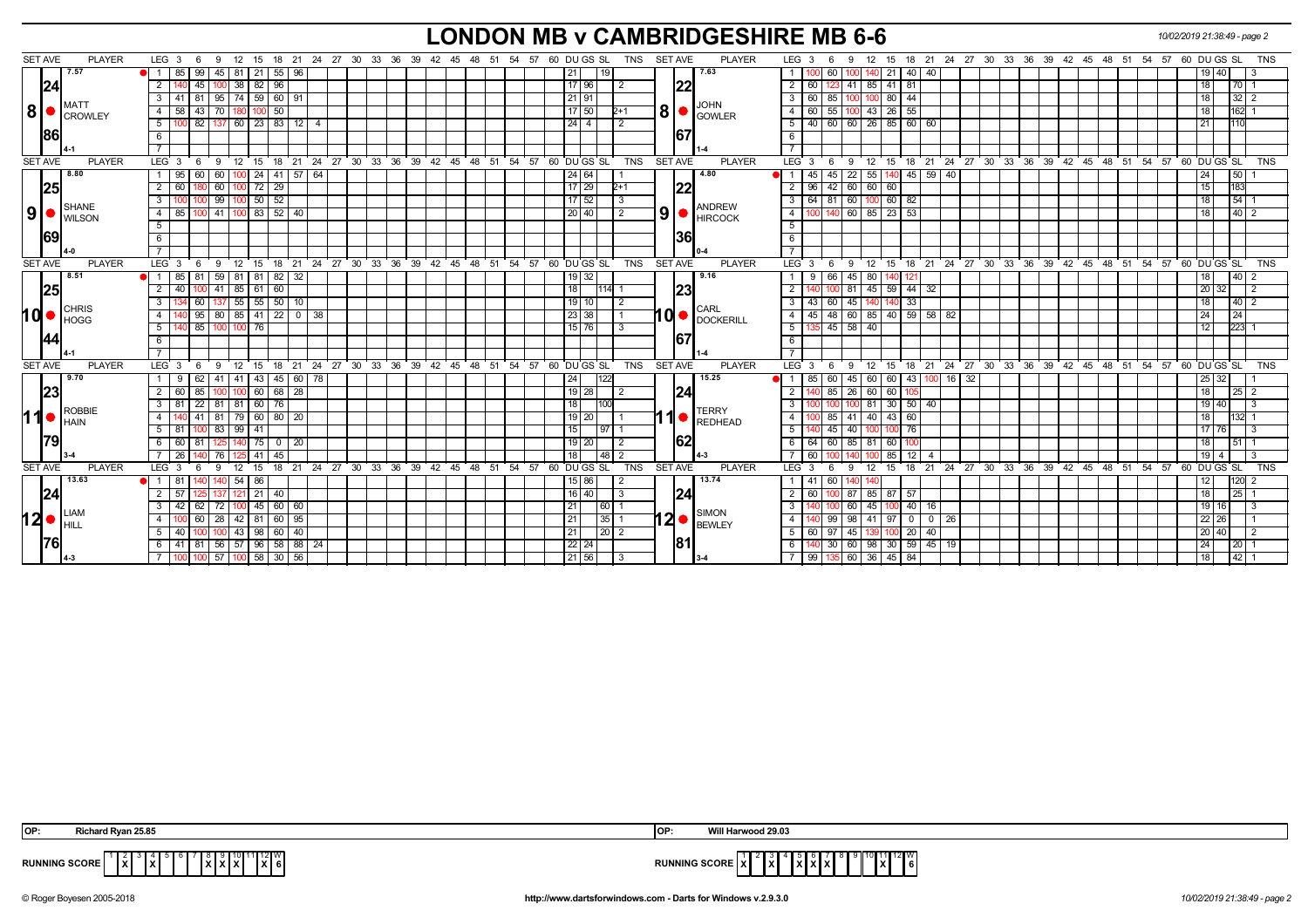# **LONDON MB v CAMBRIDGESHIRE MB 6-6** *10/02/2019 21:38:49 - page 2*

| <b>SET AVE</b> | <b>PLAYER</b>          | LEG <sub>3</sub><br>6<br>9                    |                                      | 12 15 18 21 24 27 30 33 36 39 42 45 48 51 54 57 60 DUGS SL<br>TNS  | <b>SET AVE</b><br><b>PLAYER</b>            | LEG 3<br>12 15 18 21 24 27 30 33 36 39 42 45 48 51<br>60 DU GS SL<br><b>TNS</b><br>- 9<br>54 57<br>-6  |
|----------------|------------------------|-----------------------------------------------|--------------------------------------|--------------------------------------------------------------------|--------------------------------------------|--------------------------------------------------------------------------------------------------------|
|                | 7.57                   | 45   81   21<br>99<br>85                      | $55 \mid 96$                         | 21<br>19                                                           | 7.63                                       | $21 \mid 40 \mid$<br>40<br>60<br>19140                                                                 |
|                | 24                     | $100$ 38 82<br>$\overline{2}$<br>45           | 96                                   | $17$ 96<br>$\overline{2}$                                          | 22                                         | $\overline{2}$<br>60   123   41   85   41   81<br>70 1<br>  18                                         |
|                |                        | 3 I<br>41 81                                  | $95 \mid 74 \mid 59 \mid 60 \mid 91$ | $21$ 91                                                            |                                            | 80 44<br>$32 \mid 2$<br>- 3 I<br>60   85<br>100                                                        |
| 8 <sup>1</sup> | MATT<br><b>CROWLEY</b> | 43<br>70   180  <br>$\overline{4}$<br>58      | 50<br>100                            | $17$ 50<br>$2+1$                                                   | <b>JOHN</b><br>8 <sup>1</sup><br>GOWLER    | 55<br>$43$ 26 55<br>4 I<br>60<br>162 1<br>100<br>l 18                                                  |
|                |                        | 100 82 137 60 23 83 12<br>5                   | 4                                    | $\overline{2}$<br>$24 \mid 4 \mid$                                 |                                            | $40$ 60 60 26 85 60 60<br>5<br> 21                                                                     |
|                | 186                    | 6                                             |                                      |                                                                    | 67                                         | 6                                                                                                      |
|                |                        |                                               |                                      |                                                                    |                                            | $\overline{7}$                                                                                         |
| <b>SET AVE</b> | <b>PLAYER</b>          | LEG <sup>3</sup><br>6                         |                                      | 9 12 15 18 21 24 27 30 33 36 39 42 45 48 51 54 57 60 DUGSSL<br>TNS | <b>SET AVE</b><br><b>PLAYER</b>            | 9 12 15 18 21 24 27 30 33 36 39 42 45 48 51 54 57 60 DUGS SL TNS<br>$LEG \ 3 \ 6$                      |
|                | 8.80                   | 95<br>60 I<br>$100$ 24<br>60<br>1 I           | 41 57 64                             | 24 64                                                              | 4.80                                       | 22<br>55<br>140 45 59 40<br>50<br>45<br>24<br>45                                                       |
|                | 25                     | $\overline{2}$<br>60<br>60                    | 72<br>29                             | 17 29<br>$2+1$                                                     | 22                                         | 60 60 60<br>$\overline{2}$<br>96<br>15<br>183<br>42 <sup>1</sup>                                       |
|                | <b>SHANE</b>           | 99<br>3                                       | $\vert 50 \vert$<br>52               | $17 \mid 52$                                                       | ANDREW                                     | 60<br>$100$ 60 82<br>$54$ 1<br>$\overline{\mathbf{3}}$<br>$64$ 81<br>18                                |
| 9 <sup>1</sup> | <b>I</b> WILSON        | 100 41 100 83 52 40<br>85<br>4 I              |                                      | 20 40 <br>2                                                        | 9 <sup>1</sup><br>$\bigcap_{H \mid RCOCK}$ | 100 140 60 85 23 53<br>$\overline{4}$<br>l 18                                                          |
|                |                        | 5                                             |                                      |                                                                    |                                            | $5\overline{)}$                                                                                        |
|                | 169                    | 6                                             |                                      |                                                                    | 36                                         | 6                                                                                                      |
|                |                        |                                               |                                      |                                                                    |                                            | $\overline{7}$                                                                                         |
| <b>SET AVE</b> | <b>PLAYER</b>          | LEG 3<br>6<br>9                               |                                      | 12 15 18 21 24 27 30 33 36 39 42 45 48 51 54 57 60 DUGS SL         | TNS SET AVE<br><b>PLAYER</b>               | 9 12 15 18 21 24 27 30 33 36 39 42 45 48 51 54 57 60 DUGS SL<br>LEG $3 \quad 6$<br><b>TNS</b>          |
|                | 8.51                   | 85<br>$59$ 81                                 | $82 \mid 32$<br>-81                  | 32                                                                 | 9.16                                       | 45<br>40 <sub>1</sub><br>80<br>I2'                                                                     |
|                | 25                     | $141$ 85 61<br>$\overline{2}$<br>40<br>100.   | 60                                   | 18<br>$114$ 1                                                      | 23                                         | 45 59 44 32<br>$120$ 32<br>$\overline{2}$<br>81<br>$\frac{1}{2}$                                       |
|                | <b>CHRIS</b>           | $137$ 55<br>$\mathbf{3}$<br>60                | $55 \ 50 \ 10$                       | $19$ 10<br>2                                                       | <b>CARL</b>                                | $\overline{\mathbf{3}}$<br>45<br>$140 - 33$<br>43<br>18<br>$40$ 2<br>60<br>140                         |
| hd (           | <b>I</b> HOGG          | 80   85   41<br>95<br>$\overline{4}$          | 22 0 38                              | 23 38                                                              | $10$ $\bullet$ $\frac{UATE}{DOCKERILL}$    | 48 60 85 40 59 58 82<br>$\overline{4}$<br>24<br>45<br>24                                               |
|                |                        | 40 85<br>100 100 76<br>5 <sup>1</sup>         |                                      | $\overline{151761}$<br>3                                           |                                            | $135$ 45 58 40<br>5<br>$\overline{223}$ 1<br>112                                                       |
|                |                        | $6\overline{6}$                               |                                      |                                                                    | 167                                        | $6\overline{6}$                                                                                        |
|                |                        |                                               |                                      |                                                                    |                                            | $\overline{7}$                                                                                         |
| SET AVE        | <b>PLAYER</b>          | $^{\circ}$ 12<br>LEG <sub>3</sub><br>9<br>- 6 |                                      | 15 18 21 24 27 30 33 36 39 42 45 48 51 54 57 60 DUGS SL<br>TNS     | <b>SET AVE</b><br><b>PLAYER</b>            | 12 15 18 21 24 27 30 33 36 39 42 45 48 51 54 57 60 DUGS SL<br>LEG <sup>3</sup><br><b>TNS</b><br>6<br>9 |
|                | 9.70                   | 62<br>9                                       | 41 41 43 45 60<br>78                 | 24<br>122                                                          | 15.25                                      | 45 60 60 43<br>$100$ 16 32<br>85<br>60 l<br>$25 \mid 32$                                               |
|                | 23                     | $100$ 60<br>$\overline{2}$<br>60<br>85        | 68 28                                | $19$   28<br>2                                                     | 24                                         | $\overline{2}$<br>26<br>60<br>$25 \mid 2$<br>60<br>l 18                                                |
|                | <b>ROBBIE</b>          | 22   81   81   60   76<br>$3 \mid 81$         |                                      | 18<br>100                                                          | <b>TERRY</b>                               | 30   50   40<br>3<br>100 81<br>19 40                                                                   |
| 11             | <b>I</b> HAIN          | 81<br>$\overline{4}$<br>41                    | 79 60 80 20                          | $19$   20                                                          | $\bullet$ REDHEAD                          | $\overline{4}$<br>41 40 43 60<br>100   85                                                              |
|                |                        | 83<br>5 <sup>5</sup><br>99                    | 41                                   | 15<br>97                                                           |                                            | 76<br>5<br>40<br>45<br>17176                                                                           |
|                | 1791                   | 6 60<br>81                                    | $125$ 140 75 0 20                    | $19$ 20<br>$\overline{2}$                                          | 62                                         | 64 60 85 81 60<br>- 6 I<br>511 <sup>4</sup><br>18                                                      |
|                |                        | 26<br>76                                      | 41<br>45                             | 18<br>48                                                           |                                            | 12<br>60<br>85<br>  19  <br>l 3                                                                        |
| <b>SET AVE</b> | <b>PLAYER</b>          | LEG <sub>3</sub><br>-9<br>12<br>- 6           | 15                                   | 18 21 24 27 30 33 36 39 42 45 48 51 54 57 60 DUGS SL<br>TNS        | <b>SET AVE</b><br><b>PLAYER</b>            | 18 21 24 27 30 33 36 39 42 45 48 51 54 57 60 DUGS SL<br><b>TNS</b><br>LEG<br>-3<br>-9<br>12 15<br>- 6  |
|                | 13.63                  | $1 \quad 81$<br>54                            | 86                                   | 15 86 <br>$\overline{2}$                                           | 13.74                                      | 41<br>60<br>$120$ 2<br>- 1 - I<br>  12                                                                 |
|                | 124                    | 137 121 21<br>$2 \mid 57$                     | 40                                   | 16   40 <br>3                                                      | 24                                         | $25 \mid 1$<br>$\overline{2}$<br>60<br>100 87 85 87 57<br>18                                           |
|                | <b>LIAM</b>            | 3<br>42<br>62<br>72                           | $100$ 45 60 60                       | 21<br>  60                                                         | <b>SIMON</b>                               | $\mathbf{3}$<br>60<br>40<br>45<br>191<br>16                                                            |
| 12 <sup></sup> | $\blacksquare$         | $28 \mid 42$<br>60<br>-4                      | 81<br>60   95                        | 21<br>35                                                           | $12 \bullet$ <b>BEWLEY</b>                 | 98<br>$\overline{4}$<br>99<br>97 I<br>$\overline{0}$<br>0 26<br>-41<br>22 26                           |
|                |                        | $100$ 43   98  <br>5   40<br>100              | 60 40                                | 21<br>$\vert 20 \vert 2$                                           |                                            | 5<br>60   97   45<br>100 20<br>40 I<br>  20   40                                                       |
|                |                        | 6 41 81                                       | 56 57 96 58 88 24                    | $22$ 24                                                            | <b>81</b>                                  | 30 60 98 30 59 45 19<br>6<br>24<br>20 <sup>1</sup>                                                     |
|                |                        | 100 100                                       | 57 100 58 30 56                      | 21 56 <br>-3                                                       |                                            | 7   99   135   60   36   45   84<br>$42 \mid 1$<br> 18                                                 |

| OP:                  | Richard Rvan 25.85  | 10F | Will Harwood 29.03                                                                                          |
|----------------------|---------------------|-----|-------------------------------------------------------------------------------------------------------------|
| <b>RUNNING SCORE</b> | ≟lxi<br>-lxl<br>. . |     | $\frac{11}{3}$ $\frac{12}{6}$<br>RUNNING SCORE   X   <br>$\mathbf{v}$<br>$\overline{\phantom{a}}$<br>.<br>. |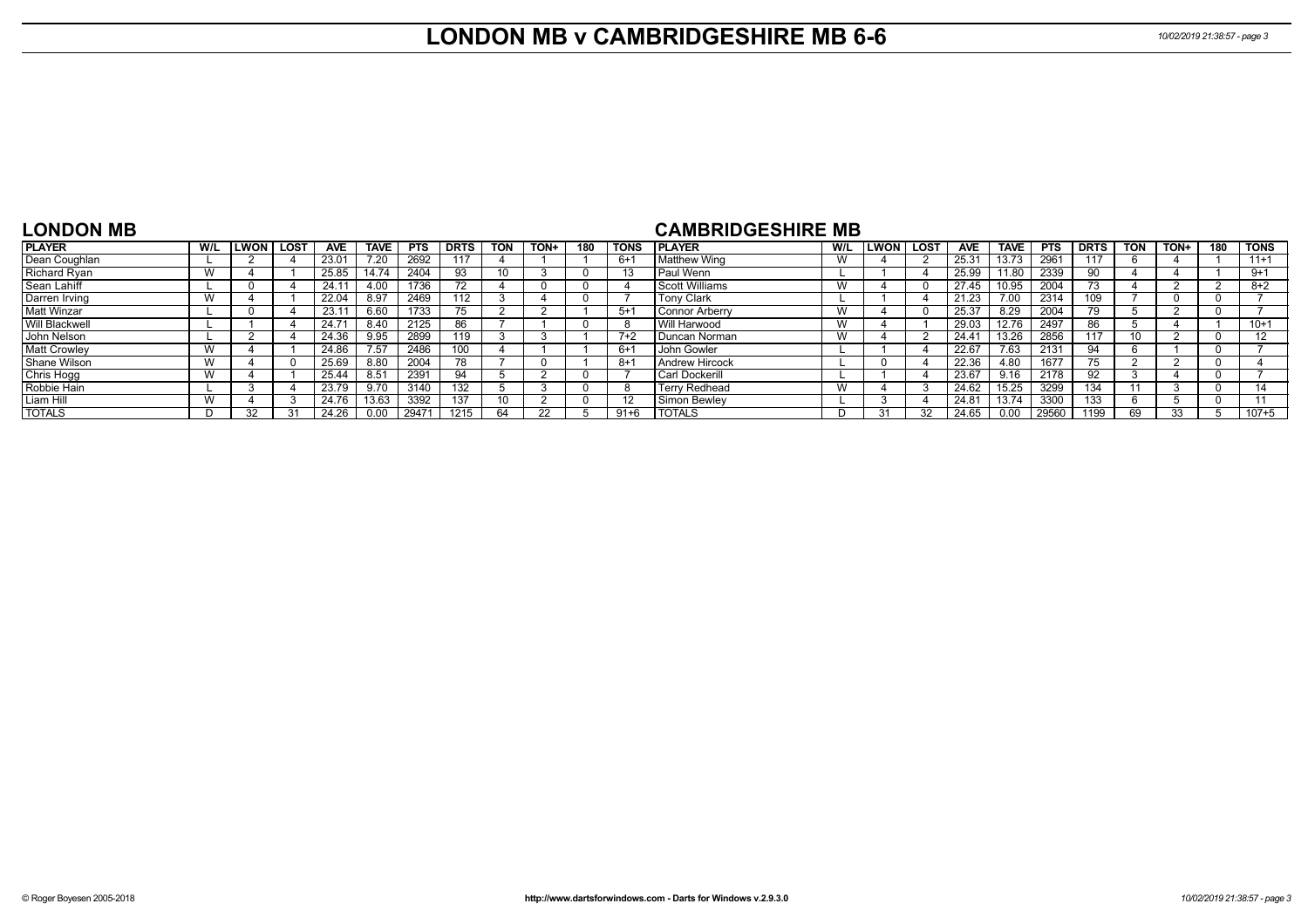## **LONDON MB v CAMBRIDGESHIRE MB 6-6** *10/02/2019 21:38:57 - page 3*

#### **LONDON MB**

#### **CAMBRIDGESHIRE MB**

| <b>PLAYER</b>       | W/L            | LWON | <b>LOST</b> | <b>AVE</b>        | <b>TAVE</b>   | <b>PTS</b> | <b>DRTS</b> | <b>TON</b> | TON+ | 180 | <b>TONS</b> | <b>I PLAYER</b>       | W/L | <b>LWON</b> | <b>LOST</b> | <b>AVE</b> | <b>TAVE</b> | <b>PTS</b> | <b>DRTS</b> | <b>TON</b> | TON+ | 180 | <b>TONS</b> |
|---------------------|----------------|------|-------------|-------------------|---------------|------------|-------------|------------|------|-----|-------------|-----------------------|-----|-------------|-------------|------------|-------------|------------|-------------|------------|------|-----|-------------|
| Dean Coughlan       |                |      |             | 23.01             | 7.20          | 2692       | 117         |            |      |     | $6+$        | Matthew Wing          | W   |             |             | 25.31      | 13.73       | 2961       | 117         |            |      |     | $11+1$      |
| Richard Ryan        | $\lambda$      |      |             | 25.85             | 14.74         | 2404       | 93          |            |      |     | 13          | Paul Wenn             |     |             |             | 25.99      | 11.80       | 2339       | 90          |            |      |     | $9+1$       |
| Sean Lahiff         |                |      |             | $24.1^{\circ}$    | 4.00          | 1736       |             |            |      |     |             | <b>Scott Williams</b> | W   |             |             | 27.45      | 10.95       | 2004       | 73          |            |      |     | $8+2$       |
| Darren Irving       | $\lambda$      |      |             | 22.04             | 8.97          | 2469       | 112         |            |      |     |             | <b>Tony Clark</b>     |     |             |             | 21.23      | 7.00        | 2314       | 109         |            |      |     |             |
| <b>Matt Winzar</b>  |                |      |             | 23.1              | 6.60          | 1733       |             |            |      |     | $5+$        | <b>Connor Arberry</b> | W   |             |             | 25.37      | 8.29        | 2004       | 79          |            |      |     |             |
| Will Blackwell      |                |      |             | 24.7 <sup>′</sup> | 8.40          | 2125       | 86          |            |      |     |             | Will Harwood          | W   |             |             | 29.03      | 12.76       | 2497       | 86          |            |      |     | $10+1$      |
| John Nelson         |                |      |             | 24.36             | 9.95          | 2899       | 119         |            |      |     | $7+2$       | Duncan Norman         | W   |             |             | 24.4       | 13.26       | 2856       | 117         |            |      |     | 12          |
| <b>Matt Crowley</b> | $\overline{M}$ |      |             | 24.86             | 7.57          | 2486       | 100         |            |      |     | $6+$        | John Gowler           |     |             |             | 22.67      | 7.63        | 2131       | 94          |            |      |     |             |
| Shane Wilson        | $\overline{M}$ |      |             | 25.69             | 8.80          | 2004       |             |            |      |     | $8+$        | <b>Andrew Hircock</b> |     |             |             | 22.36      | 4.80        | 1677       |             |            |      |     |             |
| Chris Hogg          | $\lambda$      |      |             | 25.44             | $8.5^{\circ}$ | 2391       | 94          |            |      |     |             | Carl Dockerill        |     |             |             | 23.67      | 9.16        | 2178       | 92          |            |      |     |             |
| Robbie Hain         |                |      |             | 23.79             | 9.70          | 3140       | 132         |            |      |     |             | Terry Redhead         | W   |             |             | 24.62      | 15.25       | 3299       | 134         |            |      |     |             |
| Liam Hill           | <b>AL</b>      |      |             | 24.76             | 13.63         | 3392       | 137         |            |      |     | 12          | Simon Bewlev          |     |             |             | 24.81      | 13.74       | 3300       | 133         |            |      |     |             |
| <b>TOTALS</b>       |                | 32   |             | 24.26             | 0.00          | 2947'      | 1215        | 64         |      |     | $91 + 6$    | <b>TOTALS</b>         | D   |             | 32          | 24.65      | 0.00        | 29560      | 1199        | 69         |      |     | 107+5       |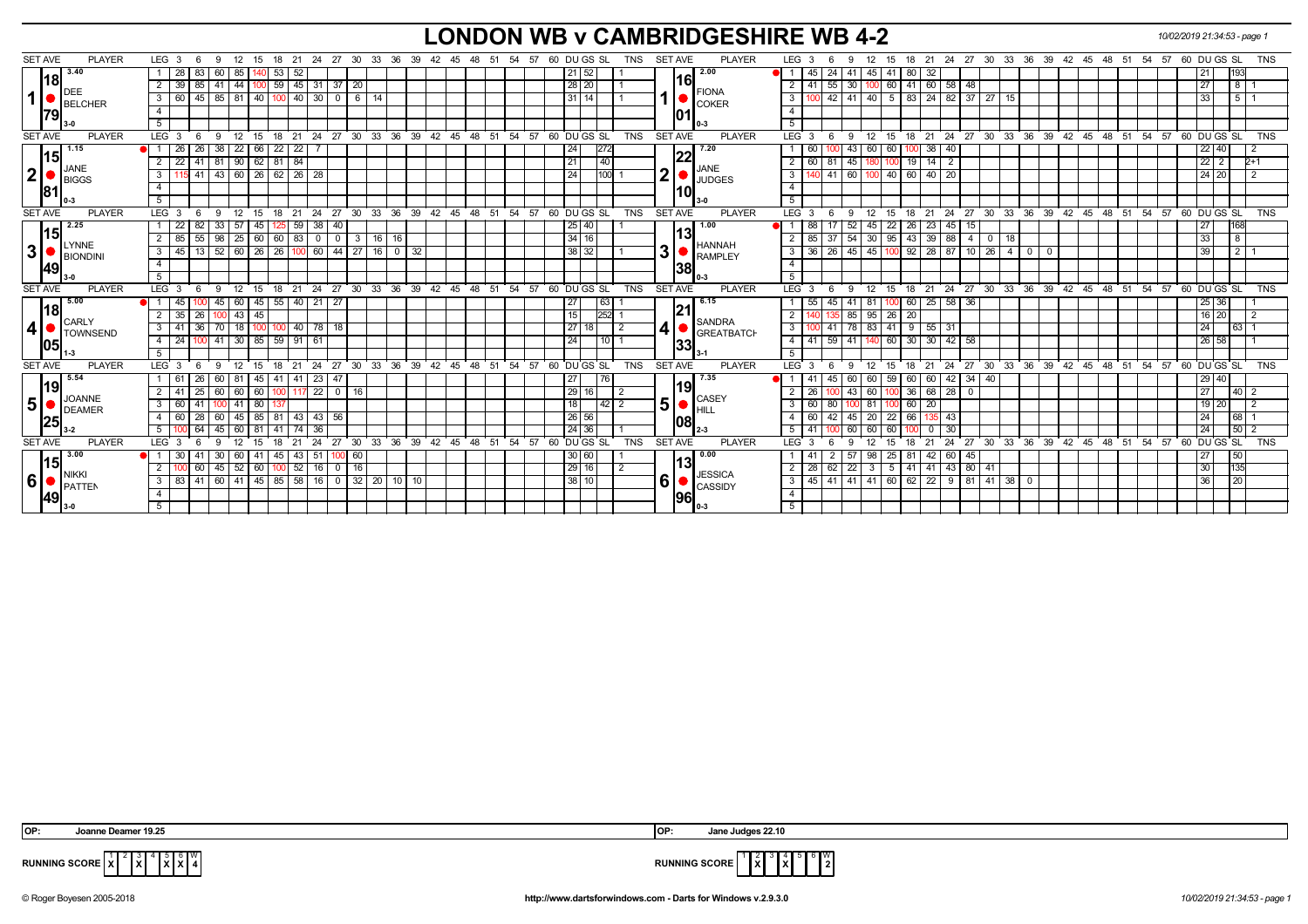## **LONDON WB v CAMBRIDGESHIRE WB 4-2** *10/02/2019 21:34:53 - page 1*

| <b>PLAYER</b><br><b>SET AVE</b>       | LEG <sub>3</sub>         | - 6     | - 12<br>-9                                          | 15      | 18                | 21               |                                |              |    | 24  27  30  33  36  39  42  45  48  51                   |               |    |    |    | 54 57 |    | 60 DU GS SL |                 |                      | <b>TNS</b> | <b>SET AVE</b> |             | PLAYER                          | LEG <sub>3</sub>     | - 6<br>9                                                      | 12             | 15 |                              |                  |              |                    |       |              | 18  21  24  27  30  33  36  39  42  45  48  51  54  57  60  DU GS  SL |              |    |    |    |               |         |                | <b>TNS</b> |
|---------------------------------------|--------------------------|---------|-----------------------------------------------------|---------|-------------------|------------------|--------------------------------|--------------|----|----------------------------------------------------------|---------------|----|----|----|-------|----|-------------|-----------------|----------------------|------------|----------------|-------------|---------------------------------|----------------------|---------------------------------------------------------------|----------------|----|------------------------------|------------------|--------------|--------------------|-------|--------------|-----------------------------------------------------------------------|--------------|----|----|----|---------------|---------|----------------|------------|
| 3.40                                  | 28                       | 83      | 85<br>60                                            |         | 53                | 52               |                                |              |    |                                                          |               |    |    |    |       |    |             | $\sqrt{21}$ 52  |                      |            |                |             | 2.00                            | 45                   | 24                                                            | 45             | 41 | 80<br>32                     |                  |              |                    |       |              |                                                                       |              |    |    |    | 21            |         | 193            |            |
| 18                                    | 2<br>39                  | 85      | $41 \mid 44$                                        |         |                   |                  | 59 45 31 37 20                 |              |    |                                                          |               |    |    |    |       |    |             | 28 20           |                      |            |                | 16          |                                 | $2 \mid 41$          | $-55$<br> 30                                                  | 100            | 60 | 41 60                        | 58               | 48           |                    |       |              |                                                                       |              |    |    |    | 27            |         | 8              |            |
| DEE<br>1<br>BELCHER                   | $3 \mid 60$              | 45      | $85 \mid 81$                                        | 40      |                   | 40               | 30<br>$\overline{\phantom{0}}$ | 6            | 14 |                                                          |               |    |    |    |       |    |             | 31 14           |                      |            |                |             | <b>FIONA</b><br>$\bullet$ COKER | 3                    | 42 41                                                         | 40             | 5  | $83 \mid 24$                 | 82               | $37 \mid 27$ | 15                 |       |              |                                                                       |              |    |    |    | 33            |         | 5              |            |
| 79                                    | $\overline{4}$           |         |                                                     |         |                   |                  |                                |              |    |                                                          |               |    |    |    |       |    |             |                 |                      |            |                |             |                                 | $\overline{4}$       |                                                               |                |    |                              |                  |              |                    |       |              |                                                                       |              |    |    |    |               |         |                |            |
|                                       | 5 <sup>5</sup>           |         |                                                     |         |                   |                  |                                |              |    |                                                          |               |    |    |    |       |    |             |                 |                      |            |                |             |                                 | 5                    |                                                               |                |    |                              |                  |              |                    |       |              |                                                                       |              |    |    |    |               |         |                |            |
| <b>SET AVE</b><br><b>PLAYER</b>       | $LEG$ 3                  |         | $\mathbf{q}$<br>12                                  | 15      | - 18              | $^{\circ}$ 21    |                                |              |    | 24 27 30 33 36 39 42 45 48 51 54 57 60 DUGS SL           |               |    |    |    |       |    |             |                 |                      | <b>TNS</b> | <b>SET AVE</b> |             | <b>PLAYER</b>                   | LEG 3                | 9                                                             | 12             |    |                              |                  |              |                    |       |              | 15 18 21 24 27 30 33 36 39 42 45 48 51 54 57 60 DUGS SL               |              |    |    |    |               |         |                | <b>TNS</b> |
| 1.15                                  | 26                       | 26      | $38 \mid 22$                                        | 66      | $22 \mid 22 \mid$ |                  |                                |              |    |                                                          |               |    |    |    |       |    | 24          |                 | 272                  |            |                | 22          | 7.20                            | 60                   |                                                               | 60<br>43 I     | 60 | $100$ 38 40                  |                  |              |                    |       |              |                                                                       |              |    |    |    |               | 22 40   |                |            |
| 15 <br>JANE                           | 2 <sup>1</sup><br>22     | 41 I    | 81 90 62 81 84                                      |         |                   |                  |                                |              |    |                                                          |               |    |    |    |       |    | 21          |                 | $\overline{140}$     |            |                |             | <b>JANE</b>                     | $2 \mid 60$          | 81 45 180                                                     |                |    | $100$ 19 14 2                |                  |              |                    |       |              |                                                                       |              |    |    |    |               | $22$ 2  | $2+1$          |            |
| 2 <sup>1</sup><br>BIGGS               | $\mathbf{3}$             | $15$ 41 | 43 60 26 62 26 28                                   |         |                   |                  |                                |              |    |                                                          |               |    |    |    |       |    | 24          |                 | 100                  |            | 2 <sub>1</sub> |             | <b>JUDGES</b>                   | 3                    | 41 60 100 40 60 40 20                                         |                |    |                              |                  |              |                    |       |              |                                                                       |              |    |    |    |               | 24 20   |                | 2          |
| '8ا                                   | $\overline{4}$           |         |                                                     |         |                   |                  |                                |              |    |                                                          |               |    |    |    |       |    |             |                 |                      |            |                | 10          |                                 |                      |                                                               |                |    |                              |                  |              |                    |       |              |                                                                       |              |    |    |    |               |         |                |            |
|                                       | 5 <sub>1</sub>           |         |                                                     |         |                   |                  |                                |              |    |                                                          |               |    |    |    |       |    |             |                 |                      |            |                |             |                                 | 5 <sup>5</sup>       |                                                               |                |    |                              |                  |              |                    |       |              |                                                                       |              |    |    |    |               |         |                |            |
| <b>SET AVE</b><br><b>PLAYER</b>       | LEG <sub>3</sub>         | - 6     | - 12<br>-9                                          | 15      | 18                | 21               |                                |              |    | 24 27 30 33 36 39 42 45 48 51 54 57                      |               |    |    |    |       |    | 60 DU GS SL |                 |                      | <b>TNS</b> | <b>SET AVE</b> |             | <b>PLAYER</b>                   | LEG 3                | -6<br>9                                                       | 12             |    |                              |                  |              |                    |       |              | 15 18 21 24 27 30 33 36 39 42 45 48 51 54 57 60 DUGS SL               |              |    |    |    |               |         |                | <b>TNS</b> |
| 2.25                                  | 22                       | 82      | 33   57                                             | 45      |                   | $59 \mid 38$     | 40                             |              |    |                                                          |               |    |    |    |       |    |             | 25 40           |                      |            |                |             | 1.00                            | 88                   | 52                                                            | 45             | 22 | 23<br>-26                    | $1\overline{45}$ | $15 \mid$    |                    |       |              |                                                                       |              |    |    |    | 27            |         | 168            |            |
| 15<br><b>LYNNE</b>                    | 2   85                   | 55      | 98   25   60   60   83   0                          |         |                   |                  | $\overline{0}$                 | 3            |    | $16$ 16                                                  |               |    |    |    |       |    |             | 34   16         |                      |            |                | 13          | <b>HANNAH</b>                   | 2 <sub>1</sub><br>85 | -37                                                           | $154$ 30       |    | $95$ 43 39 88                |                  | 4   0        | 18                 |       |              |                                                                       |              |    |    |    | 33            |         | 8              |            |
| 3<br>BIONDIN                          | $3 \mid 45$              | 13      | $52$ 60   26   26   100   60                        |         |                   |                  |                                | 44 27 16 0   |    |                                                          | 32            |    |    |    |       |    |             | 38 32           |                      |            | 31             |             | <b>RAMPLEY</b>                  | 36<br>3 I            | 26   45   45   100   92   28   87   10   26                   |                |    |                              |                  |              |                    | $4$ 0 | $\mathbf{0}$ |                                                                       |              |    |    |    | 39            |         | $\overline{2}$ |            |
| 49                                    | $\overline{4}$           |         |                                                     |         |                   |                  |                                |              |    |                                                          |               |    |    |    |       |    |             |                 |                      |            |                | 138         |                                 | 4                    |                                                               |                |    |                              |                  |              |                    |       |              |                                                                       |              |    |    |    |               |         |                |            |
|                                       | $5-1$                    |         |                                                     |         |                   |                  |                                |              |    |                                                          |               |    |    |    |       |    |             |                 |                      |            |                |             |                                 | 5                    |                                                               |                |    |                              |                  |              |                    |       |              |                                                                       |              |    |    |    |               |         |                |            |
| <b>PLAYER</b><br><b>SET AVE</b>       | LEG <sub>3</sub>         | - 6     | $9 \quad 12$                                        |         |                   |                  |                                |              |    | 15 18 21 24 27 30 33 36 39 42 45 48 51 54 57 60 DU GS SL |               |    |    |    |       |    |             |                 |                      | <b>TNS</b> | <b>SET AVE</b> |             | <b>PLAYER</b>                   | LEG 3                | - 6<br>9                                                      | 12             |    |                              |                  |              |                    |       |              | 15 18 21 24 27 30 33 36 39 42 45 48 51 54 57 60 DUGS SL               |              |    |    |    |               |         |                | <b>TNS</b> |
| 5.00                                  | 45                       |         | 60<br>45 I                                          |         | 45 55 40 21       |                  | $\overline{27}$                |              |    |                                                          |               |    |    |    |       |    | 27          |                 | 63 I                 |            |                |             | 6.15                            | 55                   | 45 41 81                                                      |                |    | 60 25 58 36                  |                  |              |                    |       |              |                                                                       |              |    |    |    |               | 25 36   |                |            |
| 18 <br><b>CARLY</b>                   | $2-1$<br>35              | 26      | $100$ 43                                            | 45      |                   |                  |                                |              |    |                                                          |               |    |    |    |       |    | 15          |                 | 252                  |            |                | 21          | SANDRA                          | 2                    |                                                               | 85 95 26       |    | 20                           |                  |              |                    |       |              |                                                                       |              |    |    |    |               | $16$ 20 | $\overline{2}$ |            |
| $\boldsymbol{4}$<br><b>I</b> TOWNSEND | $3 \mid 41$              | 36      | $70$ 18                                             | 100 100 |                   |                  | 40 78 18                       |              |    |                                                          |               |    |    |    |       |    |             | 27 18           |                      | 2          | 41             |             | <b>GREATBATCH</b>               | 3 I                  | 41   78   83   41   9   55   31                               |                |    |                              |                  |              |                    |       |              |                                                                       |              |    |    |    | 24            |         | 63             |            |
| <b>1051</b>                           | 24<br>4 I                | 100     | 41 30                                               | 85      | 59 91 61          |                  |                                |              |    |                                                          |               |    |    |    |       |    | 24          |                 | l 10 l               |            |                | 33          |                                 | $4 \mid 41$          | 59 41 140                                                     |                |    | 60 30 30                     | $142$ 58         |              |                    |       |              |                                                                       |              |    |    |    |               | 26 58   |                |            |
|                                       | 5                        |         |                                                     |         |                   |                  |                                |              |    |                                                          |               |    |    |    |       |    |             |                 |                      |            |                |             |                                 | 5 <sup>5</sup>       |                                                               |                |    |                              |                  |              |                    |       |              |                                                                       |              |    |    |    |               |         |                |            |
| <b>SET AVE</b><br><b>PLAYER</b>       | LEG <sub>3</sub>         | - 6     | 12<br>9                                             | 15      | 18                | 21               |                                |              |    | 24 27 30 33 36 39 42 45 48 51 54 57 60 DUGS SL           |               |    |    |    |       |    |             |                 |                      | <b>TNS</b> | <b>SET AVE</b> |             | <b>PLAYER</b>                   | LEG 3                | - 6<br>9                                                      | 12             | 15 | 18 21                        |                  | $24$ 27 30   |                    |       |              | 33 36 39 42 45 48 51 54 57 60 DUGS SL                                 |              |    |    |    |               |         |                | TNS        |
| 5.54<br> 19                           | 1   61                   | 26      | 60                                                  | 45      | -41               | 41   23          | -47                            |              |    |                                                          |               |    |    |    |       |    | 27          |                 | 76                   |            |                | 19          | 7.35                            | -41                  | 45                                                            | 60             | 59 | 60<br>60                     | 42               | 34   40      |                    |       |              |                                                                       |              |    |    |    |               | 29 40   |                |            |
| JOANNE                                | 2   41                   | 25      | 60<br>60                                            | 60      |                   | $7\overline{22}$ |                                | $0 \mid 16$  |    |                                                          |               |    |    |    |       |    | 29          | 16              |                      |            |                |             | $\overline{\phantom{a}}$ CASEY  | 2 <sup>1</sup><br>26 |                                                               | 60<br>43       |    | 36   68   28                 |                  | $\mathbf{0}$ |                    |       |              |                                                                       |              |    |    |    | 27            |         | 40             |            |
| 5 <sup>1</sup><br>DEAMER              | 3   60                   | 41      | DI 41                                               | 80      |                   |                  |                                |              |    |                                                          |               |    |    |    |       |    | 18          |                 | $\overline{142}$   2 |            | 5 <sup>1</sup> |             | HILL                            | $3 \mid 60$          | 80 I                                                          | $9 - 81$       |    | $60$   20                    |                  |              |                    |       |              |                                                                       |              |    |    |    |               | $19$ 20 | $\overline{2}$ |            |
| 25                                    | 4 60                     | 28      | 60<br>l 45                                          | 85      | 81                | 43 43            | 56                             |              |    |                                                          |               |    |    |    |       |    |             | 26 56           |                      |            |                | 108         |                                 | $4 \mid 60$          | $42$   $45$                                                   | 20             | 22 | 66                           | $135$ 43         |              |                    |       |              |                                                                       |              |    |    |    | 24            |         | 68             |            |
|                                       | 5 <sub>1</sub>           | 64      | 60                                                  | 81      |                   |                  | 36                             |              |    |                                                          |               |    |    |    |       |    |             | 24 36           |                      |            |                |             |                                 | $5 \mid 41$          |                                                               | 60             | 60 |                              | 30               |              |                    |       |              |                                                                       |              |    |    |    | 24            |         | $50$   2       |            |
| <b>SET AVE</b><br><b>PLAYER</b>       | LEG <sup>3</sup>         |         | 12<br>۰Q                                            | 15      | 18                | 21               | 24<br>27                       | $30^{\circ}$ | 33 | ີ 36                                                     | $39 \quad 42$ | 45 | 48 | 51 | 54    | 57 | 60 DU GS SL |                 |                      | <b>TNS</b> | <b>SET AVE</b> |             | <b>PLAYER</b>                   | LEG <sub>3</sub>     | ۰Q                                                            |                | 15 | 21                           | 24               | 27           | 33<br>$30^{\circ}$ | ີ 36  |              | 39 42 45                                                              | $48^{\circ}$ | 51 | 54 | 57 | $60$ DU GS SL |         |                | <b>TNS</b> |
| 3.00<br> 15                           |                          |         | .30 <sup>o</sup><br>60                              | 41      | 45                | 43 51            |                                | -60          |    |                                                          |               |    |    |    |       |    |             | 30 60           |                      |            |                | 13          | 0.00                            | 41                   |                                                               | 98             | 25 | 42                           | 60               | 45           |                    |       |              |                                                                       |              |    |    |    | 27            |         | 50             |            |
| <b>NIKKI</b>                          | <sup>2</sup>             | 60      | $45 \mid 52$                                        | 60      |                   | 52 16            | $\overline{0}$                 | $ 16\rangle$ |    |                                                          |               |    |    |    |       |    |             | $\boxed{29}$ 16 |                      |            |                |             | <b>JESSICA</b>                  | 28<br>2 <sup>1</sup> | $62$   22                                                     | 3 <sup>1</sup> |    | $5$   41   41   43   80   41 |                  |              |                    |       |              |                                                                       |              |    |    |    | 30            |         | 135            |            |
| 6<br>PATTEN                           | $3 \mid 83 \mid 41 \mid$ |         | 60   41   45   85   58   16   0   32   20   10   10 |         |                   |                  |                                |              |    |                                                          |               |    |    |    |       |    |             | 38 10           |                      |            | 6              |             | CASSIDY                         |                      | $3   45   41   41   41   60   62   22   9   81   41   38   0$ |                |    |                              |                  |              |                    |       |              |                                                                       |              |    |    |    | 36            |         | 20             |            |
| 49                                    | $\overline{4}$           |         |                                                     |         |                   |                  |                                |              |    |                                                          |               |    |    |    |       |    |             |                 |                      |            |                | <b>1961</b> |                                 | $\overline{4}$       |                                                               |                |    |                              |                  |              |                    |       |              |                                                                       |              |    |    |    |               |         |                |            |
| II 3-0                                | 5                        |         |                                                     |         |                   |                  |                                |              |    |                                                          |               |    |    |    |       |    |             |                 |                      |            |                |             | 0-3                             | 5 <sup>5</sup>       |                                                               |                |    |                              |                  |              |                    |       |              |                                                                       |              |    |    |    |               |         |                |            |

 $2 \sqrt{3}$ **X** 5 **X** 6 **X** W



**RUNNING SCORE**  $\overline{X}$